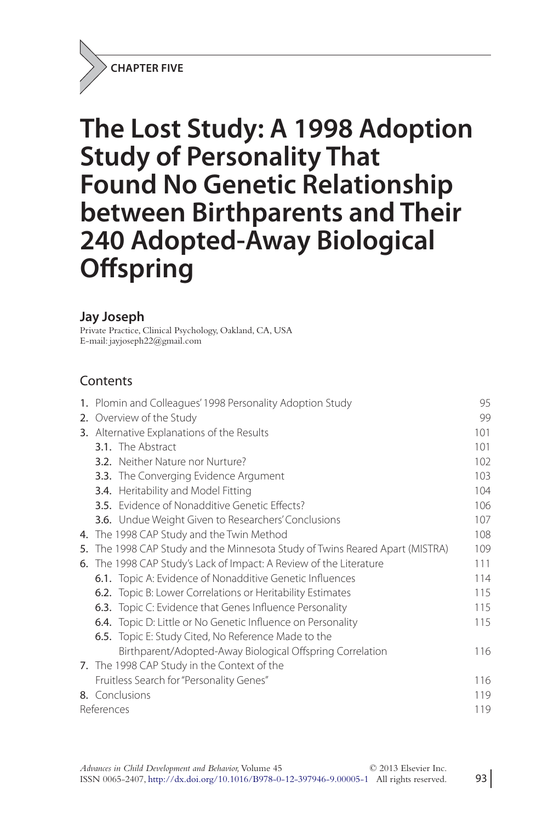**CHAPTER FIVE**

# **The Lost Study: A 1998 Adoption Study of Personality That Found No Genetic Relationship between Birthparents and Their 240 Adopted-Away Biological Offspring**

### **Jay Joseph**

Private Practice, Clinical Psychology, Oakland, CA, USA E-mail: jayjoseph22@gmail.com

# **Contents**

|    | 1. Plomin and Colleagues' 1998 Personality Adoption Study                 | 95  |
|----|---------------------------------------------------------------------------|-----|
|    | 2. Overview of the Study                                                  | 99  |
|    | 3. Alternative Explanations of the Results                                | 101 |
|    | 3.1. The Abstract                                                         | 101 |
|    | <b>3.2.</b> Neither Nature nor Nurture?                                   | 102 |
|    | 3.3. The Converging Evidence Argument                                     | 103 |
|    | 3.4. Heritability and Model Fitting                                       | 104 |
|    | <b>3.5.</b> Evidence of Nonadditive Genetic Effects?                      | 106 |
|    | <b>3.6.</b> Undue Weight Given to Researchers' Conclusions                | 107 |
|    | 4. The 1998 CAP Study and the Twin Method                                 | 108 |
| 5. | The 1998 CAP Study and the Minnesota Study of Twins Reared Apart (MISTRA) | 109 |
|    | 6. The 1998 CAP Study's Lack of Impact: A Review of the Literature        | 111 |
|    | 6.1. Topic A: Evidence of Nonadditive Genetic Influences                  | 114 |
|    | 6.2. Topic B: Lower Correlations or Heritability Estimates                | 115 |
|    | <b>6.3.</b> Topic C: Evidence that Genes Influence Personality            | 115 |
|    | 6.4. Topic D: Little or No Genetic Influence on Personality               | 115 |
|    | <b>6.5.</b> Topic E: Study Cited, No Reference Made to the                |     |
|    | Birthparent/Adopted-Away Biological Offspring Correlation                 | 116 |
|    | 7. The 1998 CAP Study in the Context of the                               |     |
|    | Fruitless Search for "Personality Genes"                                  | 116 |
|    | 8. Conclusions                                                            | 119 |
|    | References                                                                |     |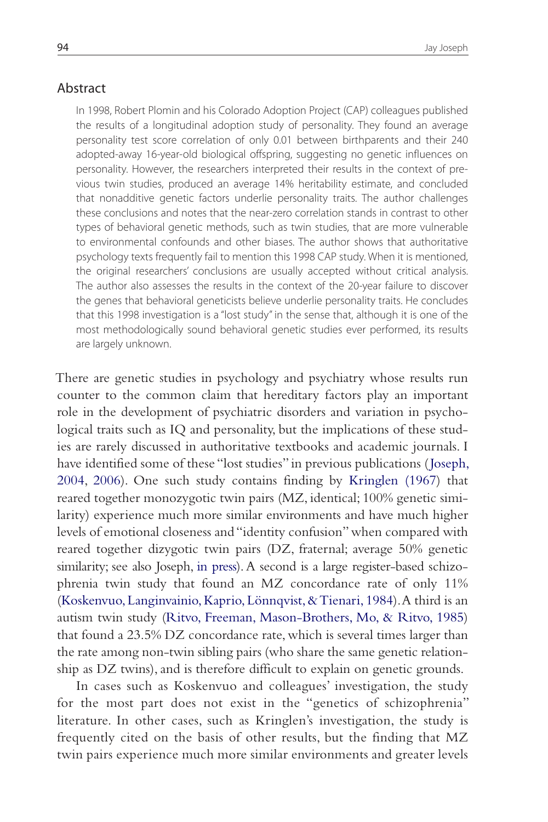### Abstract

In 1998, Robert Plomin and his Colorado Adoption Project (CAP) colleagues published the results of a longitudinal adoption study of personality. They found an average personality test score correlation of only 0.01 between birthparents and their 240 adopted-away 16-year-old biological offspring, suggesting no genetic influences on personality. However, the researchers interpreted their results in the context of previous twin studies, produced an average 14% heritability estimate, and concluded that nonadditive genetic factors underlie personality traits. The author challenges these conclusions and notes that the near-zero correlation stands in contrast to other types of behavioral genetic methods, such as twin studies, that are more vulnerable to environmental confounds and other biases. The author shows that authoritative psychology texts frequently fail to mention this 1998 CAP study. When it is mentioned, the original researchers' conclusions are usually accepted without critical analysis. The author also assesses the results in the context of the 20-year failure to discover the genes that behavioral geneticists believe underlie personality traits. He concludes that this 1998 investigation is a "lost study" in the sense that, although it is one of the most methodologically sound behavioral genetic studies ever performed, its results are largely unknown.

There are genetic studies in psychology and psychiatry whose results run counter to the common claim that hereditary factors play an important role in the development of psychiatric disorders and variation in psychological traits such as IQ and personality, but the implications of these studies are rarely discussed in authoritative textbooks and academic journals. I have identified some of these "lost studies" in previous publications (Joseph, 2004, 2006). One such study contains finding by Kringlen (1967) that reared together monozygotic twin pairs (MZ, identical; 100% genetic similarity) experience much more similar environments and have much higher levels of emotional closeness and "identity confusion" when compared with reared together dizygotic twin pairs (DZ, fraternal; average 50% genetic similarity; see also Joseph, in press). A second is a large register-based schizophrenia twin study that found an MZ concordance rate of only 11% (Koskenvuo, Langinvainio, Kaprio, Lönnqvist, & Tienari, 1984). A third is an autism twin study (Ritvo, Freeman, Mason-Brothers, Mo, & Ritvo, 1985) that found a 23.5% DZ concordance rate, which is several times larger than the rate among non-twin sibling pairs (who share the same genetic relationship as DZ twins), and is therefore difficult to explain on genetic grounds.

In cases such as Koskenvuo and colleagues' investigation, the study for the most part does not exist in the "genetics of schizophrenia" literature. In other cases, such as Kringlen's investigation, the study is frequently cited on the basis of other results, but the finding that MZ twin pairs experience much more similar environments and greater levels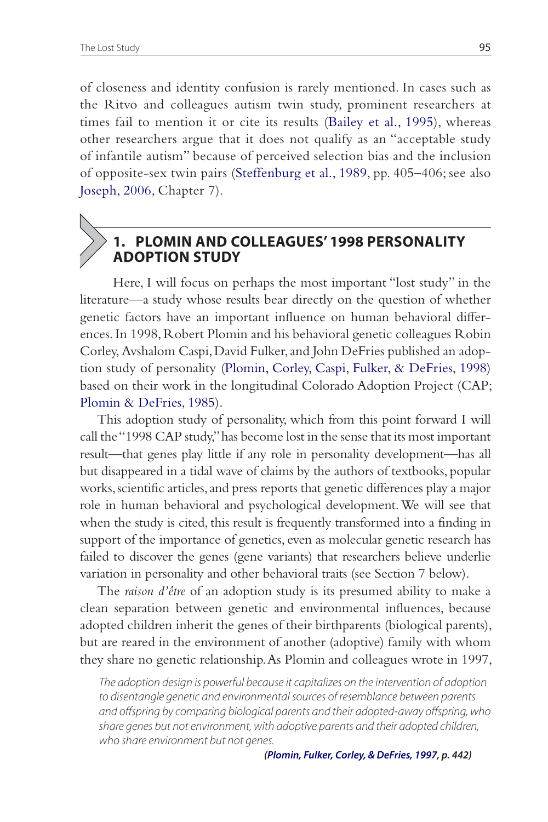of closeness and identity confusion is rarely mentioned. In cases such as the Ritvo and colleagues autism twin study, prominent researchers at times fail to mention it or cite its results (Bailey et al., 1995), whereas other researchers argue that it does not qualify as an "acceptable study of infantile autism" because of perceived selection bias and the inclusion of opposite-sex twin pairs (Steffenburg et al., 1989, pp. 405–406; see also Joseph, 2006, Chapter 7).

# **1. PLOMIN AND COLLEAGUES' 1998 PERSONALITY ADOPTION STUDY**

 Here, I will focus on perhaps the most important "lost study" in the literature—a study whose results bear directly on the question of whether genetic factors have an important influence on human behavioral differences. In 1998, Robert Plomin and his behavioral genetic colleagues Robin Corley, Avshalom Caspi, David Fulker, and John DeFries published an adoption study of personality (Plomin, Corley, Caspi, Fulker, & DeFries, 1998) based on their work in the longitudinal Colorado Adoption Project (CAP; Plomin & DeFries, 1985).

This adoption study of personality, which from this point forward I will call the "1998 CAP study," has become lost in the sense that its most important result—that genes play little if any role in personality development—has all but disappeared in a tidal wave of claims by the authors of textbooks, popular works, scientific articles, and press reports that genetic differences play a major role in human behavioral and psychological development. We will see that when the study is cited, this result is frequently transformed into a finding in support of the importance of genetics, even as molecular genetic research has failed to discover the genes (gene variants) that researchers believe underlie variation in personality and other behavioral traits (see Section 7 below).

The *raison d'être* of an adoption study is its presumed ability to make a clean separation between genetic and environmental influences, because adopted children inherit the genes of their birthparents (biological parents), but are reared in the environment of another (adoptive) family with whom they share no genetic relationship. As Plomin and colleagues wrote in 1997,

The adoption design is powerful because it capitalizes on the intervention of adoption to disentangle genetic and environmental sources of resemblance between parents and offspring by comparing biological parents and their adopted-away offspring, who share genes but not environment, with adoptive parents and their adopted children, who share environment but not genes.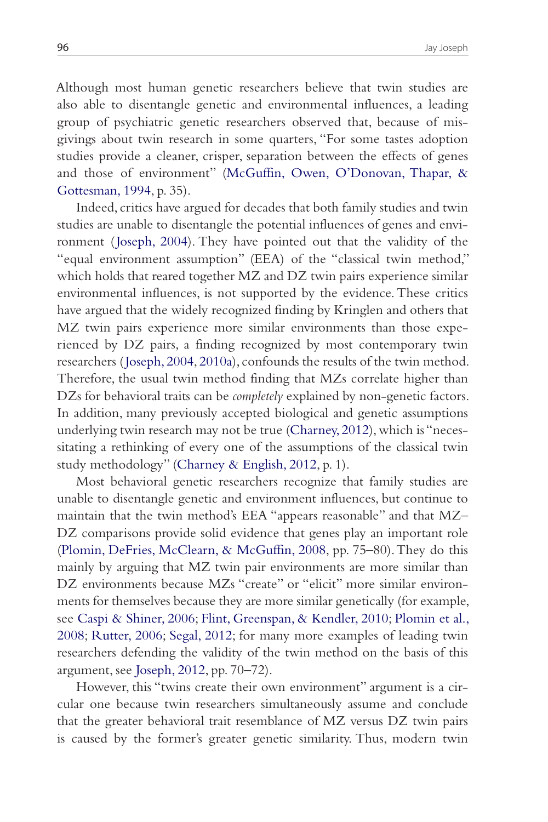Although most human genetic researchers believe that twin studies are also able to disentangle genetic and environmental influences, a leading group of psychiatric genetic researchers observed that, because of misgivings about twin research in some quarters, "For some tastes adoption studies provide a cleaner, crisper, separation between the effects of genes and those of environment" (McGuffin, Owen, O'Donovan, Thapar, & Gottesman, 1994, p. 35).

Indeed, critics have argued for decades that both family studies and twin studies are unable to disentangle the potential influences of genes and environment (Joseph, 2004). They have pointed out that the validity of the "equal environment assumption" (EEA) of the "classical twin method," which holds that reared together MZ and DZ twin pairs experience similar environmental influences, is not supported by the evidence. These critics have argued that the widely recognized finding by Kringlen and others that MZ twin pairs experience more similar environments than those experienced by DZ pairs, a finding recognized by most contemporary twin researchers ( Joseph, 2004, 2010a), confounds the results of the twin method. Therefore, the usual twin method finding that MZs correlate higher than DZs for behavioral traits can be *completely* explained by non-genetic factors. In addition, many previously accepted biological and genetic assumptions underlying twin research may not be true (Charney, 2012), which is "necessitating a rethinking of every one of the assumptions of the classical twin study methodology" (Charney & English, 2012, p. 1).

Most behavioral genetic researchers recognize that family studies are unable to disentangle genetic and environment influences, but continue to maintain that the twin method's EEA "appears reasonable" and that MZ– DZ comparisons provide solid evidence that genes play an important role (Plomin, DeFries, McClearn, & McGuffin, 2008, pp. 75–80). They do this mainly by arguing that MZ twin pair environments are more similar than DZ environments because MZs "create" or "elicit" more similar environments for themselves because they are more similar genetically (for example, see Caspi & Shiner, 2006; Flint, Greenspan, & Kendler, 2010; Plomin et al., 2008; Rutter, 2006; Segal, 2012; for many more examples of leading twin researchers defending the validity of the twin method on the basis of this argument, see Joseph, 2012, pp. 70–72).

However, this "twins create their own environment" argument is a circular one because twin researchers simultaneously assume and conclude that the greater behavioral trait resemblance of MZ versus DZ twin pairs is caused by the former's greater genetic similarity. Thus, modern twin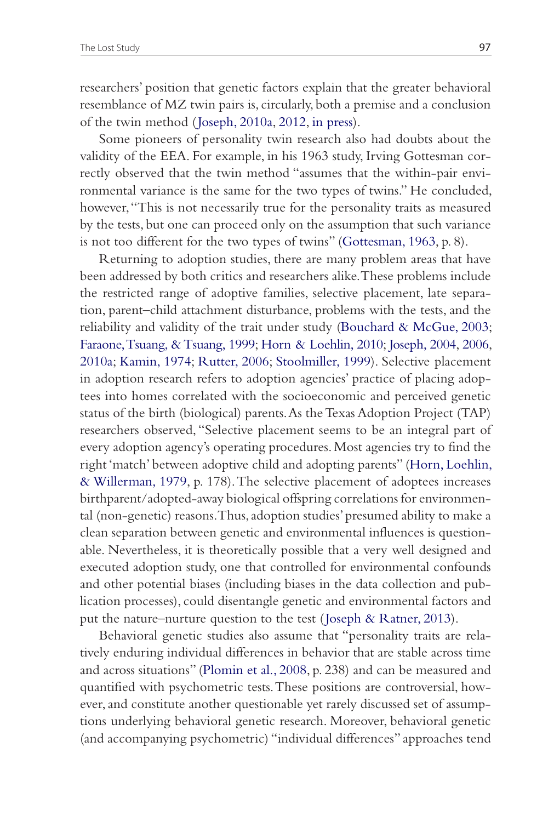researchers' position that genetic factors explain that the greater behavioral resemblance of MZ twin pairs is, circularly, both a premise and a conclusion of the twin method ( Joseph, 2010a, 2012, in press).

Some pioneers of personality twin research also had doubts about the validity of the EEA. For example, in his 1963 study, Irving Gottesman correctly observed that the twin method "assumes that the within-pair environmental variance is the same for the two types of twins." He concluded, however, "This is not necessarily true for the personality traits as measured by the tests, but one can proceed only on the assumption that such variance is not too different for the two types of twins" (Gottesman, 1963, p. 8).

Returning to adoption studies, there are many problem areas that have been addressed by both critics and researchers alike. These problems include the restricted range of adoptive families, selective placement, late separation, parent–child attachment disturbance, problems with the tests, and the reliability and validity of the trait under study (Bouchard & McGue, 2003; Faraone, Tsuang, & Tsuang, 1999; Horn & Loehlin, 2010; Joseph, 2004, 2006, 2010a; Kamin, 1974; Rutter, 2006; Stoolmiller, 1999). Selective placement in adoption research refers to adoption agencies' practice of placing adoptees into homes correlated with the socioeconomic and perceived genetic status of the birth (biological) parents. As the Texas Adoption Project (TAP) researchers observed, "Selective placement seems to be an integral part of every adoption agency's operating procedures. Most agencies try to find the right 'match' between adoptive child and adopting parents" (Horn, Loehlin, & Willerman, 1979, p. 178). The selective placement of adoptees increases birthparent/adopted-away biological offspring correlations for environmental (non-genetic) reasons. Thus, adoption studies' presumed ability to make a clean separation between genetic and environmental influences is questionable. Nevertheless, it is theoretically possible that a very well designed and executed adoption study, one that controlled for environmental confounds and other potential biases (including biases in the data collection and publication processes), could disentangle genetic and environmental factors and put the nature–nurture question to the test (Joseph & Ratner, 2013).

Behavioral genetic studies also assume that "personality traits are relatively enduring individual differences in behavior that are stable across time and across situations" (Plomin et al., 2008, p. 238) and can be measured and quantified with psychometric tests. These positions are controversial, however, and constitute another questionable yet rarely discussed set of assumptions underlying behavioral genetic research. Moreover, behavioral genetic (and accompanying psychometric) "individual differences" approaches tend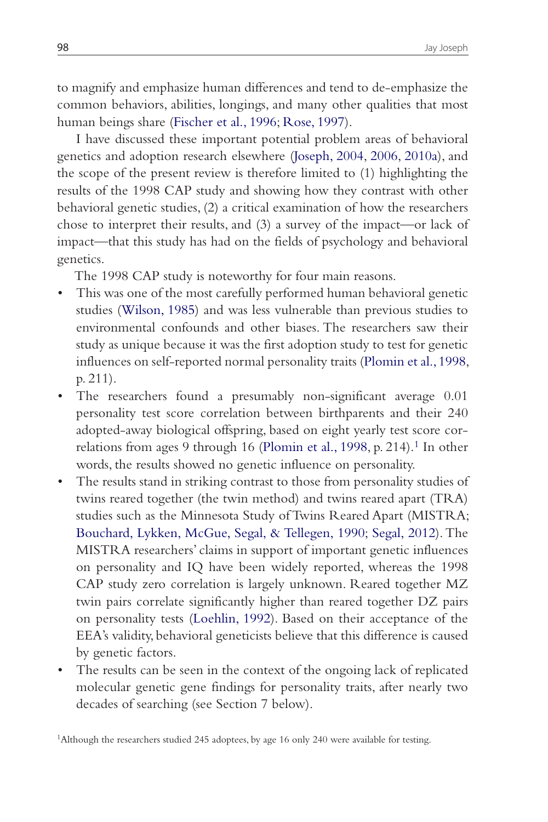to magnify and emphasize human differences and tend to de-emphasize the common behaviors, abilities, longings, and many other qualities that most human beings share (Fischer et al., 1996; Rose, 1997).

I have discussed these important potential problem areas of behavioral genetics and adoption research elsewhere (Joseph, 2004, 2006, 2010a), and the scope of the present review is therefore limited to (1) highlighting the results of the 1998 CAP study and showing how they contrast with other behavioral genetic studies, (2) a critical examination of how the researchers chose to interpret their results, and (3) a survey of the impact—or lack of impact—that this study has had on the fields of psychology and behavioral genetics.

The 1998 CAP study is noteworthy for four main reasons.

- This was one of the most carefully performed human behavioral genetic studies (Wilson, 1985) and was less vulnerable than previous studies to environmental confounds and other biases. The researchers saw their study as unique because it was the first adoption study to test for genetic influences on self-reported normal personality traits (Plomin et al., 1998, p. 211).
- The researchers found a presumably non-significant average 0.01 personality test score correlation between birthparents and their 240 adopted-away biological offspring, based on eight yearly test score correlations from ages 9 through 16 (Plomin et al., 1998, p. 214).<sup>1</sup> In other words, the results showed no genetic influence on personality.
- The results stand in striking contrast to those from personality studies of twins reared together (the twin method) and twins reared apart (TRA) studies such as the Minnesota Study of Twins Reared Apart (MISTRA; Bouchard, Lykken, McGue, Segal, & Tellegen, 1990; Segal, 2012). The MISTRA researchers' claims in support of important genetic influences on personality and IQ have been widely reported, whereas the 1998 CAP study zero correlation is largely unknown. Reared together MZ twin pairs correlate significantly higher than reared together DZ pairs on personality tests (Loehlin, 1992). Based on their acceptance of the EEA's validity, behavioral geneticists believe that this difference is caused by genetic factors.
- The results can be seen in the context of the ongoing lack of replicated molecular genetic gene findings for personality traits, after nearly two decades of searching (see Section 7 below).

1Although the researchers studied 245 adoptees, by age 16 only 240 were available for testing.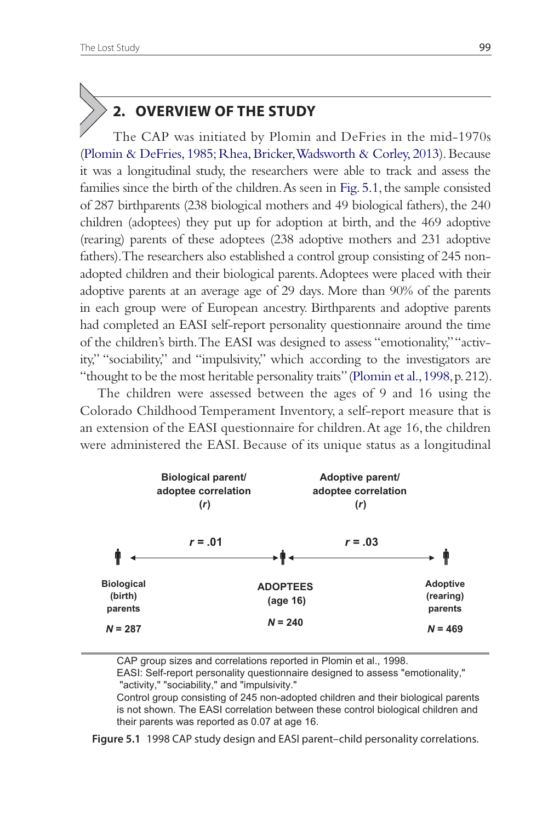# **2. OVERVIEW OF THE STUDY**

 The CAP was initiated by Plomin and DeFries in the mid-1970s (Plomin & DeFries, 1985; Rhea, Bricker, Wadsworth & Corley, 2013). Because it was a longitudinal study, the researchers were able to track and assess the families since the birth of the children. As seen in Fig. 5.1, the sample consisted of 287 birthparents (238 biological mothers and 49 biological fathers), the 240 children (adoptees) they put up for adoption at birth, and the 469 adoptive (rearing) parents of these adoptees (238 adoptive mothers and 231 adoptive fathers). The researchers also established a control group consisting of 245 nonadopted children and their biological parents. Adoptees were placed with their adoptive parents at an average age of 29 days. More than 90% of the parents in each group were of European ancestry. Birthparents and adoptive parents had completed an EASI self-report personality questionnaire around the time of the children's birth. The EASI was designed to assess "emotionality," "activity," "sociability," and "impulsivity," which according to the investigators are "thought to be the most heritable personality traits" (Plomin et al., 1998, p. 212).

The children were assessed between the ages of 9 and 16 using the Colorado Childhood Temperament Inventory, a self-report measure that is an extension of the EASI questionnaire for children. At age 16, the children were administered the EASI. Because of its unique status as a longitudinal



CAP group sizes and correlations reported in Plomin et al., 1998. EASI: Self-report personality questionnaire designed to assess "emotionality," "activity," "sociability," and "impulsivity." Control group consisting of 245 non-adopted children and their biological parents

is not shown. The EASI correlation between these control biological children and their parents was reported as 0.07 at age 16.

**Figure 5.1** 1998 CAP study design and EASI parent–child personality correlations.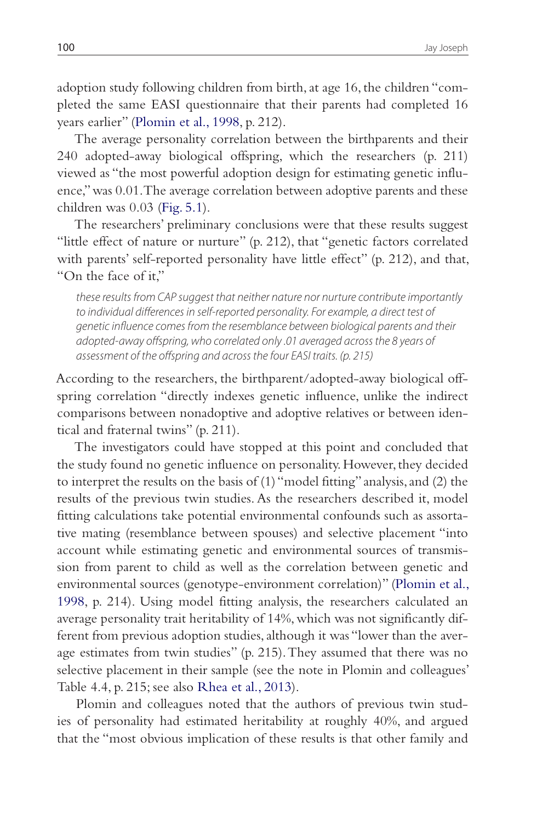adoption study following children from birth, at age 16, the children "completed the same EASI questionnaire that their parents had completed 16 years earlier" (Plomin et al., 1998, p. 212).

The average personality correlation between the birthparents and their 240 adopted-away biological offspring, which the researchers (p. 211) viewed as "the most powerful adoption design for estimating genetic influence," was 0.01. The average correlation between adoptive parents and these children was 0.03 (Fig. 5.1).

The researchers' preliminary conclusions were that these results suggest "little effect of nature or nurture" (p. 212), that "genetic factors correlated with parents' self-reported personality have little effect" (p. 212), and that, "On the face of it,"

these results from CAP suggest that neither nature nor nurture contribute importantly to individual differences in self-reported personality. For example, a direct test of genetic influence comes from the resemblance between biological parents and their adopted-away offspring, who correlated only .01 averaged across the 8 years of assessment of the offspring and across the four EASI traits. (p. 215)

According to the researchers, the birthparent/adopted-away biological offspring correlation "directly indexes genetic influence, unlike the indirect comparisons between nonadoptive and adoptive relatives or between identical and fraternal twins" (p. 211).

The investigators could have stopped at this point and concluded that the study found no genetic influence on personality. However, they decided to interpret the results on the basis of (1) "model fitting" analysis, and (2) the results of the previous twin studies. As the researchers described it, model fitting calculations take potential environmental confounds such as assortative mating (resemblance between spouses) and selective placement "into account while estimating genetic and environmental sources of transmission from parent to child as well as the correlation between genetic and environmental sources (genotype-environment correlation)" (Plomin et al., 1998, p. 214). Using model fitting analysis, the researchers calculated an average personality trait heritability of 14%, which was not significantly different from previous adoption studies, although it was "lower than the average estimates from twin studies" (p. 215). They assumed that there was no selective placement in their sample (see the note in Plomin and colleagues' Table 4.4, p. 215; see also Rhea et al., 2013).

Plomin and colleagues noted that the authors of previous twin studies of personality had estimated heritability at roughly 40%, and argued that the "most obvious implication of these results is that other family and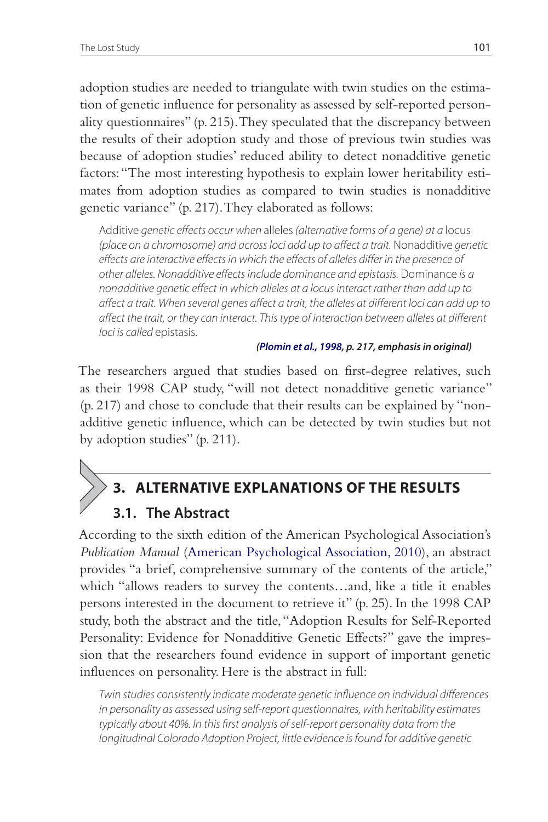adoption studies are needed to triangulate with twin studies on the estimation of genetic influence for personality as assessed by self-reported personality questionnaires" (p. 215). They speculated that the discrepancy between the results of their adoption study and those of previous twin studies was because of adoption studies' reduced ability to detect nonadditive genetic factors: "The most interesting hypothesis to explain lower heritability estimates from adoption studies as compared to twin studies is nonadditive genetic variance" (p. 217). They elaborated as follows:

Additive genetic effects occur when alleles (alternative forms of a gene) at a locus (place on a chromosome) and across loci add up to affect a trait. Nonadditive genetic effects are interactive effects in which the effects of alleles differ in the presence of other alleles. Nonadditive effects include dominance and epistasis. Dominance is a nonadditive genetic effect in which alleles at a locus interact rather than add up to affect a trait. When several genes affect a trait, the alleles at different loci can add up to affect the trait, or they can interact. This type of interaction between alleles at different loci is called epistasis.

#### **(Plomin et al., 1998, p. 217, emphasis in original)**

The researchers argued that studies based on first-degree relatives, such as their 1998 CAP study, "will not detect nonadditive genetic variance" (p. 217) and chose to conclude that their results can be explained by "nonadditive genetic influence, which can be detected by twin studies but not by adoption studies" (p. 211).

# **3. ALTERNATIVE EXPLANATIONS OF THE RESULTS**

### **3.1. The Abstract**

According to the sixth edition of the American Psychological Association's *Publication Manual* (American Psychological Association, 2010), an abstract provides "a brief, comprehensive summary of the contents of the article," which "allows readers to survey the contents…and, like a title it enables persons interested in the document to retrieve it" (p. 25). In the 1998 CAP study, both the abstract and the title, "Adoption Results for Self-Reported Personality: Evidence for Nonadditive Genetic Effects?" gave the impression that the researchers found evidence in support of important genetic influences on personality. Here is the abstract in full:

Twin studies consistently indicate moderate genetic influence on individual differences in personality as assessed using self-report questionnaires, with heritability estimates typically about 40%. In this first analysis of self-report personality data from the longitudinal Colorado Adoption Project, little evidence is found for additive genetic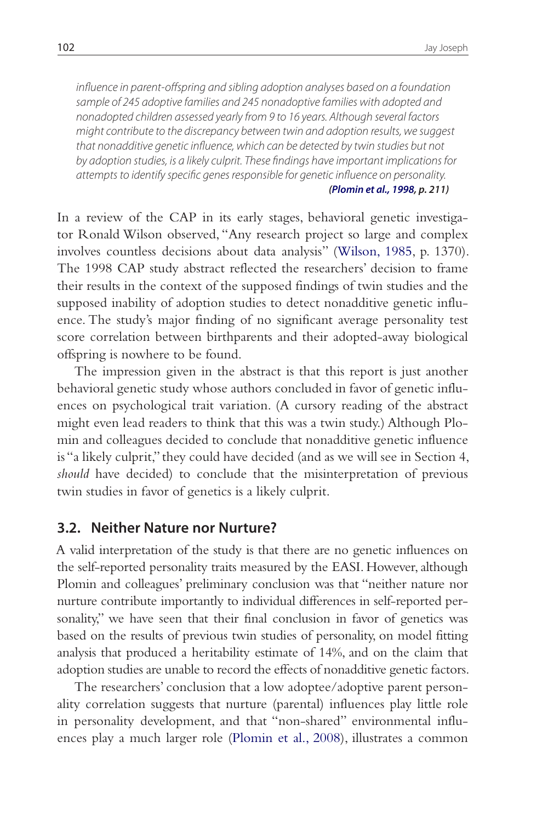influence in parent-offspring and sibling adoption analyses based on a foundation sample of 245 adoptive families and 245 nonadoptive families with adopted and nonadopted children assessed yearly from 9 to 16 years. Although several factors might contribute to the discrepancy between twin and adoption results, we suggest that nonadditive genetic influence, which can be detected by twin studies but not by adoption studies, is a likely culprit. These findings have important implications for attempts to identify specific genes responsible for genetic influence on personality. **(Plomin et al., 1998, p. 211)**

In a review of the CAP in its early stages, behavioral genetic investigator Ronald Wilson observed, "Any research project so large and complex involves countless decisions about data analysis" (Wilson, 1985, p. 1370). The 1998 CAP study abstract reflected the researchers' decision to frame their results in the context of the supposed findings of twin studies and the supposed inability of adoption studies to detect nonadditive genetic influence. The study's major finding of no significant average personality test score correlation between birthparents and their adopted-away biological offspring is nowhere to be found.

The impression given in the abstract is that this report is just another behavioral genetic study whose authors concluded in favor of genetic influences on psychological trait variation. (A cursory reading of the abstract might even lead readers to think that this was a twin study.) Although Plomin and colleagues decided to conclude that nonadditive genetic influence is "a likely culprit," they could have decided (and as we will see in Section 4, *should* have decided) to conclude that the misinterpretation of previous twin studies in favor of genetics is a likely culprit.

### **3.2. Neither Nature nor Nurture?**

A valid interpretation of the study is that there are no genetic influences on the self-reported personality traits measured by the EASI. However, although Plomin and colleagues' preliminary conclusion was that "neither nature nor nurture contribute importantly to individual differences in self-reported personality," we have seen that their final conclusion in favor of genetics was based on the results of previous twin studies of personality, on model fitting analysis that produced a heritability estimate of 14%, and on the claim that adoption studies are unable to record the effects of nonadditive genetic factors.

The researchers' conclusion that a low adoptee/adoptive parent personality correlation suggests that nurture (parental) influences play little role in personality development, and that "non-shared" environmental influences play a much larger role (Plomin et al., 2008), illustrates a common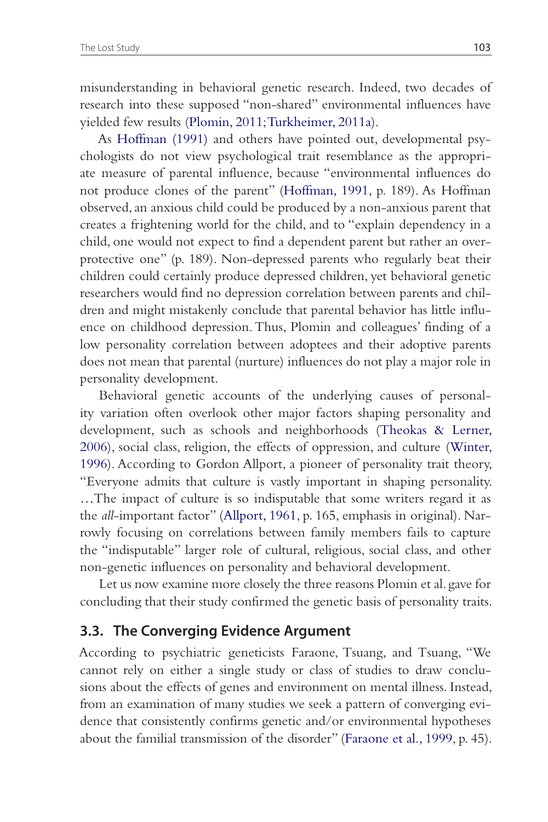misunderstanding in behavioral genetic research. Indeed, two decades of research into these supposed "non-shared" environmental influences have yielded few results (Plomin, 2011; Turkheimer, 2011a).

As Hoffman (1991) and others have pointed out, developmental psychologists do not view psychological trait resemblance as the appropriate measure of parental influence, because "environmental influences do not produce clones of the parent" (Hoffman, 1991, p. 189). As Hoffman observed, an anxious child could be produced by a non-anxious parent that creates a frightening world for the child, and to "explain dependency in a child, one would not expect to find a dependent parent but rather an overprotective one" (p. 189). Non-depressed parents who regularly beat their children could certainly produce depressed children, yet behavioral genetic researchers would find no depression correlation between parents and children and might mistakenly conclude that parental behavior has little influence on childhood depression. Thus, Plomin and colleagues' finding of a low personality correlation between adoptees and their adoptive parents does not mean that parental (nurture) influences do not play a major role in personality development.

Behavioral genetic accounts of the underlying causes of personality variation often overlook other major factors shaping personality and development, such as schools and neighborhoods (Theokas & Lerner, 2006), social class, religion, the effects of oppression, and culture (Winter, 1996). According to Gordon Allport, a pioneer of personality trait theory, "Everyone admits that culture is vastly important in shaping personality. …The impact of culture is so indisputable that some writers regard it as the *all*-important factor" (Allport, 1961, p. 165, emphasis in original). Narrowly focusing on correlations between family members fails to capture the "indisputable" larger role of cultural, religious, social class, and other non-genetic influences on personality and behavioral development.

Let us now examine more closely the three reasons Plomin et al. gave for concluding that their study confirmed the genetic basis of personality traits.

### **3.3. The Converging Evidence Argument**

According to psychiatric geneticists Faraone, Tsuang, and Tsuang, "We cannot rely on either a single study or class of studies to draw conclusions about the effects of genes and environment on mental illness. Instead, from an examination of many studies we seek a pattern of converging evidence that consistently confirms genetic and/or environmental hypotheses about the familial transmission of the disorder" (Faraone et al., 1999, p. 45).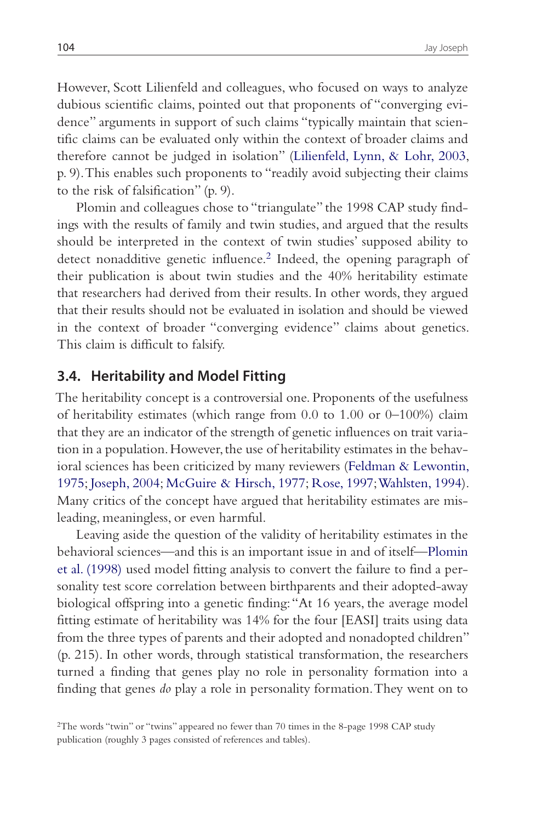However, Scott Lilienfeld and colleagues, who focused on ways to analyze dubious scientific claims, pointed out that proponents of "converging evidence" arguments in support of such claims "typically maintain that scientific claims can be evaluated only within the context of broader claims and therefore cannot be judged in isolation" (Lilienfeld, Lynn, & Lohr, 2003, p. 9). This enables such proponents to "readily avoid subjecting their claims to the risk of falsification" (p. 9).

Plomin and colleagues chose to "triangulate" the 1998 CAP study findings with the results of family and twin studies, and argued that the results should be interpreted in the context of twin studies' supposed ability to detect nonadditive genetic influence.<sup>2</sup> Indeed, the opening paragraph of their publication is about twin studies and the 40% heritability estimate that researchers had derived from their results. In other words, they argued that their results should not be evaluated in isolation and should be viewed in the context of broader "converging evidence" claims about genetics. This claim is difficult to falsify.

### **3.4. Heritability and Model Fitting**

The heritability concept is a controversial one. Proponents of the usefulness of heritability estimates (which range from 0.0 to 1.00 or 0–100%) claim that they are an indicator of the strength of genetic influences on trait variation in a population. However, the use of heritability estimates in the behavioral sciences has been criticized by many reviewers (Feldman & Lewontin, 1975; Joseph, 2004; McGuire & Hirsch, 1977; Rose, 1997; Wahlsten, 1994). Many critics of the concept have argued that heritability estimates are misleading, meaningless, or even harmful.

Leaving aside the question of the validity of heritability estimates in the behavioral sciences—and this is an important issue in and of itself—Plomin et al. (1998) used model fitting analysis to convert the failure to find a personality test score correlation between birthparents and their adopted-away biological offspring into a genetic finding: "At 16 years, the average model fitting estimate of heritability was 14% for the four [EASI] traits using data from the three types of parents and their adopted and nonadopted children" (p. 215). In other words, through statistical transformation, the researchers turned a finding that genes play no role in personality formation into a finding that genes *do* play a role in personality formation. They went on to

<sup>2</sup>The words "twin" or "twins" appeared no fewer than 70 times in the 8-page 1998 CAP study publication (roughly 3 pages consisted of references and tables).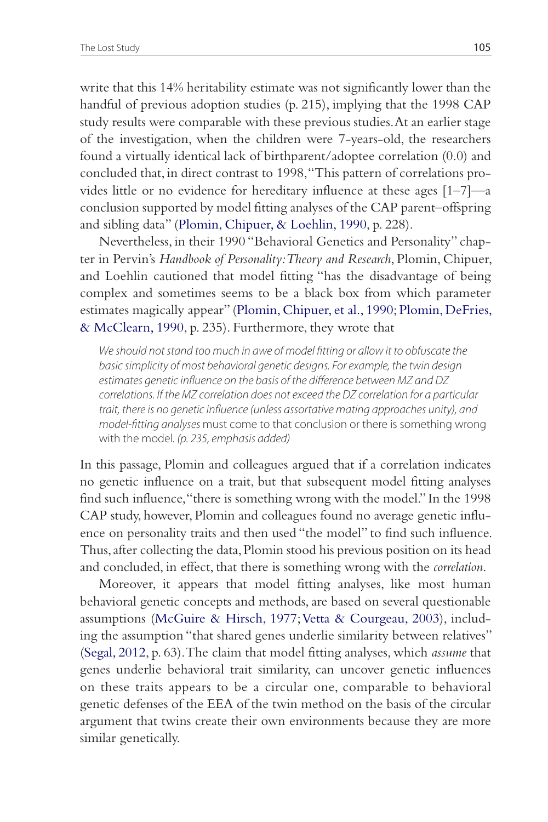write that this 14% heritability estimate was not significantly lower than the handful of previous adoption studies (p. 215), implying that the 1998 CAP study results were comparable with these previous studies. At an earlier stage of the investigation, when the children were 7-years-old, the researchers found a virtually identical lack of birthparent/adoptee correlation (0.0) and concluded that, in direct contrast to 1998, "This pattern of correlations provides little or no evidence for hereditary influence at these ages [1–7]—a conclusion supported by model fitting analyses of the CAP parent–offspring and sibling data" (Plomin, Chipuer, & Loehlin, 1990, p. 228).

Nevertheless, in their 1990 "Behavioral Genetics and Personality" chapter in Pervin's *Handbook of Personality: Theory and Research*, Plomin, Chipuer, and Loehlin cautioned that model fitting "has the disadvantage of being complex and sometimes seems to be a black box from which parameter estimates magically appear" (Plomin, Chipuer, et al., 1990; Plomin, DeFries, & McClearn, 1990, p. 235). Furthermore, they wrote that

We should not stand too much in awe of model fitting or allow it to obfuscate the basic simplicity of most behavioral genetic designs. For example, the twin design estimates genetic influence on the basis of the difference between MZ and DZ correlations. If the MZ correlation does not exceed the DZ correlation for a particular trait, there is no genetic influence (unless assortative mating approaches unity), and model-fitting analyses must come to that conclusion or there is something wrong with the model. (p. 235, emphasis added)

In this passage, Plomin and colleagues argued that if a correlation indicates no genetic influence on a trait, but that subsequent model fitting analyses find such influence, "there is something wrong with the model." In the 1998 CAP study, however, Plomin and colleagues found no average genetic influence on personality traits and then used "the model" to find such influence. Thus, after collecting the data, Plomin stood his previous position on its head and concluded, in effect, that there is something wrong with the *correlation*.

Moreover, it appears that model fitting analyses, like most human behavioral genetic concepts and methods, are based on several questionable assumptions (McGuire & Hirsch, 1977; Vetta & Courgeau, 2003), including the assumption "that shared genes underlie similarity between relatives" (Segal, 2012, p. 63). The claim that model fitting analyses, which *assume* that genes underlie behavioral trait similarity, can uncover genetic influences on these traits appears to be a circular one, comparable to behavioral genetic defenses of the EEA of the twin method on the basis of the circular argument that twins create their own environments because they are more similar genetically.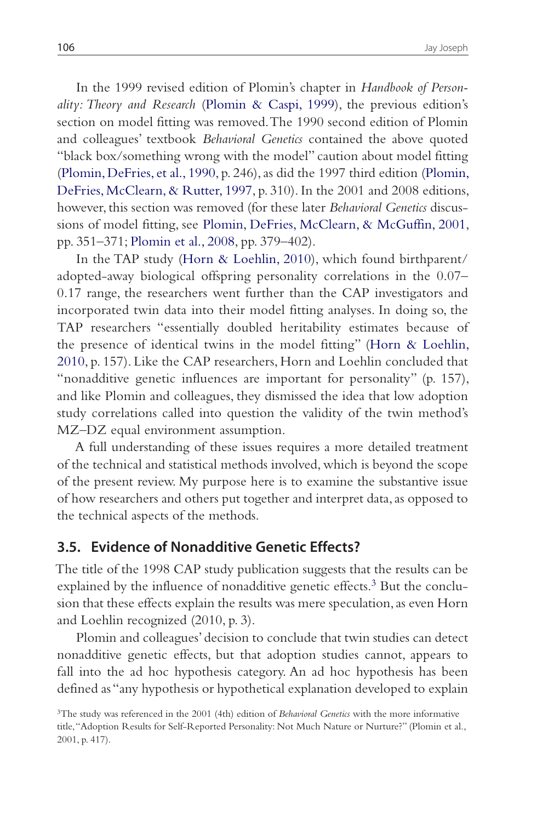In the 1999 revised edition of Plomin's chapter in *Handbook of Personality: Theory and Research* (Plomin & Caspi, 1999), the previous edition's section on model fitting was removed. The 1990 second edition of Plomin and colleagues' textbook *Behavioral Genetics* contained the above quoted "black box/something wrong with the model" caution about model fitting (Plomin, DeFries, et al., 1990, p. 246), as did the 1997 third edition (Plomin, DeFries, McClearn, & Rutter, 1997, p. 310). In the 2001 and 2008 editions, however, this section was removed (for these later *Behavioral Genetics* discussions of model fitting, see Plomin, DeFries, McClearn, & McGuffin, 2001, pp. 351–371; Plomin et al., 2008, pp. 379–402).

In the TAP study (Horn & Loehlin, 2010), which found birthparent/ adopted-away biological offspring personality correlations in the 0.07– 0.17 range, the researchers went further than the CAP investigators and incorporated twin data into their model fitting analyses. In doing so, the TAP researchers "essentially doubled heritability estimates because of the presence of identical twins in the model fitting" (Horn & Loehlin, 2010, p. 157). Like the CAP researchers, Horn and Loehlin concluded that "nonadditive genetic influences are important for personality" (p. 157), and like Plomin and colleagues, they dismissed the idea that low adoption study correlations called into question the validity of the twin method's MZ–DZ equal environment assumption.

A full understanding of these issues requires a more detailed treatment of the technical and statistical methods involved, which is beyond the scope of the present review. My purpose here is to examine the substantive issue of how researchers and others put together and interpret data, as opposed to the technical aspects of the methods.

### **3.5. Evidence of Nonadditive Genetic Effects?**

The title of the 1998 CAP study publication suggests that the results can be explained by the influence of nonadditive genetic effects.<sup>3</sup> But the conclusion that these effects explain the results was mere speculation, as even Horn and Loehlin recognized (2010, p. 3).

Plomin and colleagues' decision to conclude that twin studies can detect nonadditive genetic effects, but that adoption studies cannot, appears to fall into the ad hoc hypothesis category. An ad hoc hypothesis has been defined as "any hypothesis or hypothetical explanation developed to explain

<sup>3</sup>The study was referenced in the 2001 (4th) edition of *Behavioral Genetics* with the more informative title, "Adoption Results for Self-Reported Personality: Not Much Nature or Nurture?" (Plomin et al., 2001, p. 417).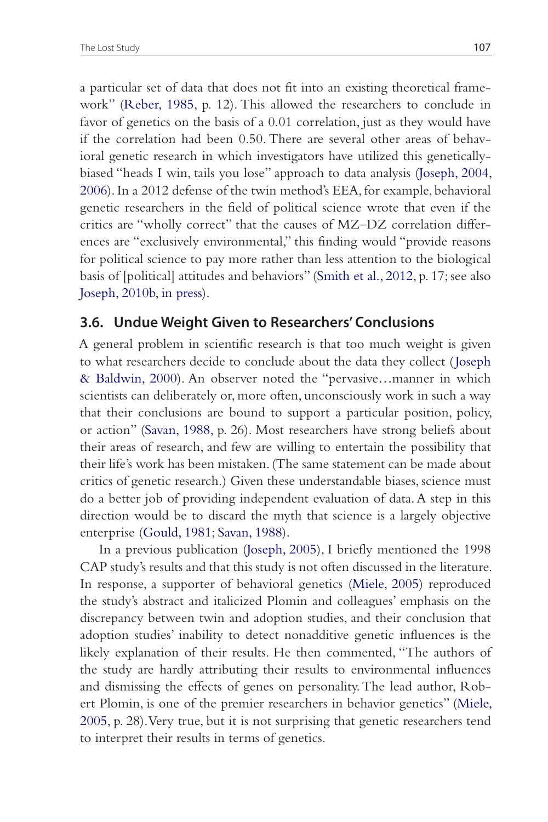a particular set of data that does not fit into an existing theoretical framework" (Reber, 1985, p. 12). This allowed the researchers to conclude in favor of genetics on the basis of a 0.01 correlation, just as they would have if the correlation had been 0.50. There are several other areas of behavioral genetic research in which investigators have utilized this geneticallybiased "heads I win, tails you lose" approach to data analysis (Joseph, 2004, 2006). In a 2012 defense of the twin method's EEA, for example, behavioral genetic researchers in the field of political science wrote that even if the critics are "wholly correct" that the causes of MZ–DZ correlation differences are "exclusively environmental," this finding would "provide reasons for political science to pay more rather than less attention to the biological basis of [political] attitudes and behaviors" (Smith et al., 2012, p. 17; see also Joseph, 2010b, in press).

### **3.6. Undue Weight Given to Researchers' Conclusions**

A general problem in scientific research is that too much weight is given to what researchers decide to conclude about the data they collect ( Joseph & Baldwin, 2000). An observer noted the "pervasive…manner in which scientists can deliberately or, more often, unconsciously work in such a way that their conclusions are bound to support a particular position, policy, or action" (Savan, 1988, p. 26). Most researchers have strong beliefs about their areas of research, and few are willing to entertain the possibility that their life's work has been mistaken. (The same statement can be made about critics of genetic research.) Given these understandable biases, science must do a better job of providing independent evaluation of data. A step in this direction would be to discard the myth that science is a largely objective enterprise (Gould, 1981; Savan, 1988).

In a previous publication (Joseph, 2005), I briefly mentioned the 1998 CAP study's results and that this study is not often discussed in the literature. In response, a supporter of behavioral genetics (Miele, 2005) reproduced the study's abstract and italicized Plomin and colleagues' emphasis on the discrepancy between twin and adoption studies, and their conclusion that adoption studies' inability to detect nonadditive genetic influences is the likely explanation of their results. He then commented, "The authors of the study are hardly attributing their results to environmental influences and dismissing the effects of genes on personality. The lead author, Robert Plomin, is one of the premier researchers in behavior genetics" (Miele, 2005, p. 28). Very true, but it is not surprising that genetic researchers tend to interpret their results in terms of genetics.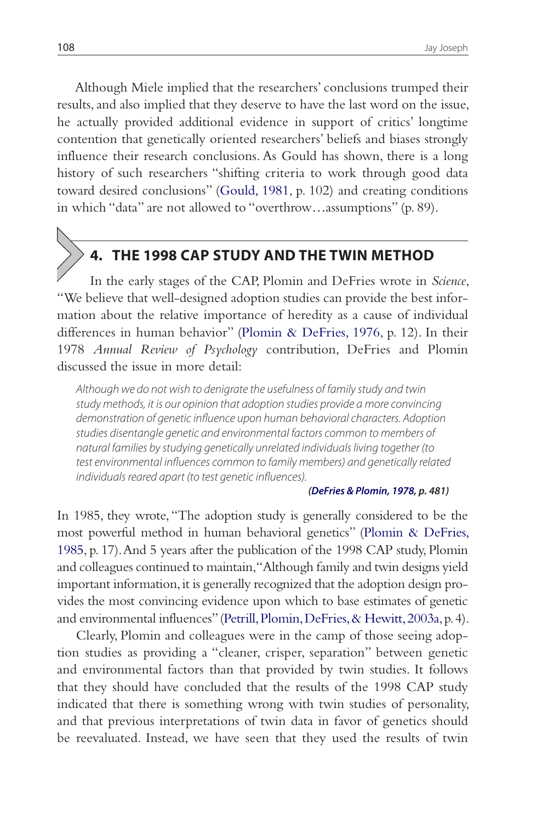Although Miele implied that the researchers' conclusions trumped their results, and also implied that they deserve to have the last word on the issue, he actually provided additional evidence in support of critics' longtime contention that genetically oriented researchers' beliefs and biases strongly influence their research conclusions. As Gould has shown, there is a long history of such researchers "shifting criteria to work through good data toward desired conclusions" (Gould, 1981, p. 102) and creating conditions in which "data" are not allowed to "overthrow…assumptions" (p. 89).

# **4. THE 1998 CAP STUDY AND THE TWIN METHOD**

 In the early stages of the CAP, Plomin and DeFries wrote in *Science*, "We believe that well-designed adoption studies can provide the best information about the relative importance of heredity as a cause of individual differences in human behavior" (Plomin & DeFries, 1976, p. 12). In their 1978 *Annual Review of Psychology* contribution, DeFries and Plomin discussed the issue in more detail:

Although we do not wish to denigrate the usefulness of family study and twin study methods, it is our opinion that adoption studies provide a more convincing demonstration of genetic influence upon human behavioral characters. Adoption studies disentangle genetic and environmental factors common to members of natural families by studying genetically unrelated individuals living together (to test environmental influences common to family members) and genetically related individuals reared apart (to test genetic influences).

#### **(DeFries & Plomin, 1978, p. 481)**

In 1985, they wrote, "The adoption study is generally considered to be the most powerful method in human behavioral genetics" (Plomin & DeFries, 1985, p. 17). And 5 years after the publication of the 1998 CAP study, Plomin and colleagues continued to maintain, "Although family and twin designs yield important information, it is generally recognized that the adoption design provides the most convincing evidence upon which to base estimates of genetic and environmental influences" (Petrill, Plomin, DeFries, & Hewitt, 2003a, p. 4).

Clearly, Plomin and colleagues were in the camp of those seeing adoption studies as providing a "cleaner, crisper, separation" between genetic and environmental factors than that provided by twin studies. It follows that they should have concluded that the results of the 1998 CAP study indicated that there is something wrong with twin studies of personality, and that previous interpretations of twin data in favor of genetics should be reevaluated. Instead, we have seen that they used the results of twin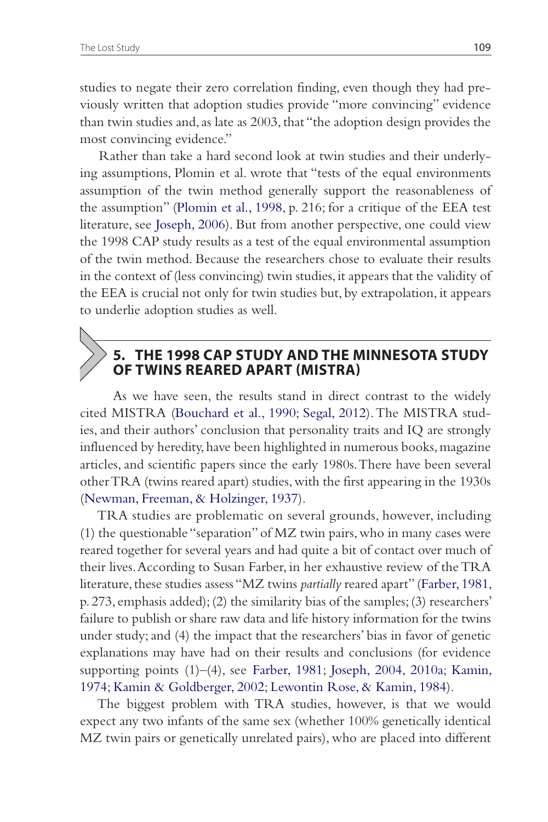studies to negate their zero correlation finding, even though they had previously written that adoption studies provide "more convincing" evidence than twin studies and, as late as 2003, that "the adoption design provides the most convincing evidence."

Rather than take a hard second look at twin studies and their underlying assumptions, Plomin et al. wrote that "tests of the equal environments assumption of the twin method generally support the reasonableness of the assumption" (Plomin et al., 1998, p. 216; for a critique of the EEA test literature, see Joseph, 2006). But from another perspective, one could view the 1998 CAP study results as a test of the equal environmental assumption of the twin method. Because the researchers chose to evaluate their results in the context of (less convincing) twin studies, it appears that the validity of the EEA is crucial not only for twin studies but, by extrapolation, it appears to underlie adoption studies as well.

# **5. THE 1998 CAP STUDY AND THE MINNESOTA STUDY OF TWINS REARED APART (MISTRA)**

 As we have seen, the results stand in direct contrast to the widely cited MISTRA (Bouchard et al., 1990; Segal, 2012). The MISTRA studies, and their authors' conclusion that personality traits and IQ are strongly influenced by heredity, have been highlighted in numerous books, magazine articles, and scientific papers since the early 1980s. There have been several other TRA (twins reared apart) studies, with the first appearing in the 1930s (Newman, Freeman, & Holzinger, 1937).

TRA studies are problematic on several grounds, however, including (1) the questionable "separation" of MZ twin pairs, who in many cases were reared together for several years and had quite a bit of contact over much of their lives. According to Susan Farber, in her exhaustive review of the TRA literature, these studies assess "MZ twins *partially* reared apart" (Farber, 1981, p. 273, emphasis added); (2) the similarity bias of the samples; (3) researchers' failure to publish or share raw data and life history information for the twins under study; and (4) the impact that the researchers' bias in favor of genetic explanations may have had on their results and conclusions (for evidence supporting points  $(1)$ – $(4)$ , see Farber, 1981; Joseph, 2004, 2010a; Kamin, 1974; Kamin & Goldberger, 2002; Lewontin Rose, & Kamin, 1984).

The biggest problem with TRA studies, however, is that we would expect any two infants of the same sex (whether 100% genetically identical MZ twin pairs or genetically unrelated pairs), who are placed into different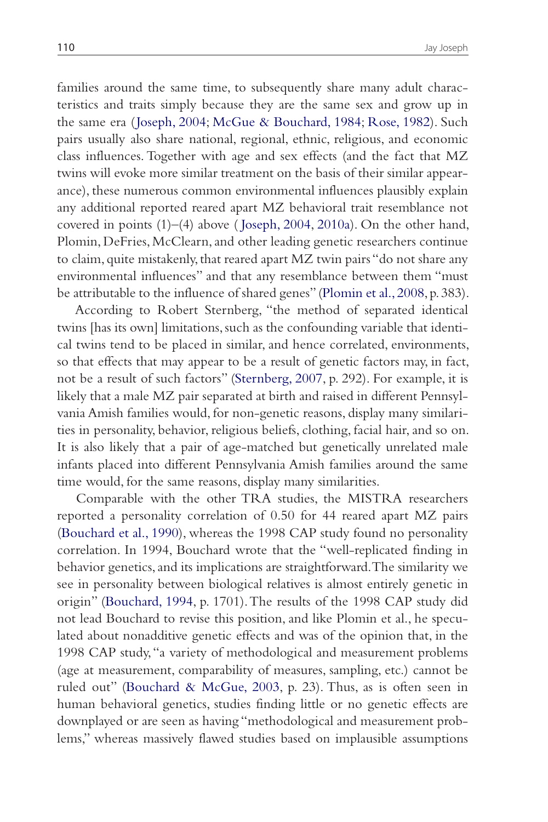families around the same time, to subsequently share many adult characteristics and traits simply because they are the same sex and grow up in the same era ( Joseph, 2004; McGue & Bouchard, 1984; Rose, 1982). Such pairs usually also share national, regional, ethnic, religious, and economic class influences. Together with age and sex effects (and the fact that MZ twins will evoke more similar treatment on the basis of their similar appearance), these numerous common environmental influences plausibly explain any additional reported reared apart MZ behavioral trait resemblance not covered in points (1)–(4) above ( Joseph, 2004, 2010a). On the other hand, Plomin, DeFries, McClearn, and other leading genetic researchers continue to claim, quite mistakenly, that reared apart MZ twin pairs "do not share any environmental influences" and that any resemblance between them "must be attributable to the influence of shared genes" (Plomin et al., 2008, p. 383).

According to Robert Sternberg, "the method of separated identical twins [has its own] limitations, such as the confounding variable that identical twins tend to be placed in similar, and hence correlated, environments, so that effects that may appear to be a result of genetic factors may, in fact, not be a result of such factors" (Sternberg, 2007, p. 292). For example, it is likely that a male MZ pair separated at birth and raised in different Pennsylvania Amish families would, for non-genetic reasons, display many similarities in personality, behavior, religious beliefs, clothing, facial hair, and so on. It is also likely that a pair of age-matched but genetically unrelated male infants placed into different Pennsylvania Amish families around the same time would, for the same reasons, display many similarities.

Comparable with the other TRA studies, the MISTRA researchers reported a personality correlation of 0.50 for 44 reared apart MZ pairs (Bouchard et al., 1990), whereas the 1998 CAP study found no personality correlation. In 1994, Bouchard wrote that the "well-replicated finding in behavior genetics, and its implications are straightforward. The similarity we see in personality between biological relatives is almost entirely genetic in origin" (Bouchard, 1994, p. 1701). The results of the 1998 CAP study did not lead Bouchard to revise this position, and like Plomin et al., he speculated about nonadditive genetic effects and was of the opinion that, in the 1998 CAP study, "a variety of methodological and measurement problems (age at measurement, comparability of measures, sampling, etc.) cannot be ruled out" (Bouchard & McGue, 2003, p. 23). Thus, as is often seen in human behavioral genetics, studies finding little or no genetic effects are downplayed or are seen as having "methodological and measurement problems," whereas massively flawed studies based on implausible assumptions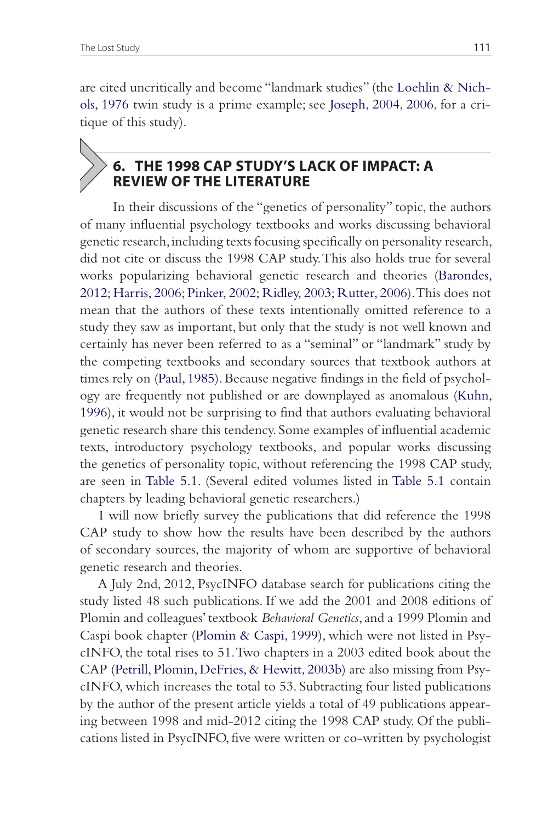are cited uncritically and become "landmark studies" (the Loehlin & Nichols, 1976 twin study is a prime example; see Joseph, 2004, 2006, for a critique of this study).

# **6. THE 1998 CAP STUDY'S LACK OF IMPACT: A REVIEW OF THE LITERATURE**

 In their discussions of the "genetics of personality" topic, the authors of many influential psychology textbooks and works discussing behavioral genetic research, including texts focusing specifically on personality research, did not cite or discuss the 1998 CAP study. This also holds true for several works popularizing behavioral genetic research and theories (Barondes, 2012; Harris, 2006; Pinker, 2002; Ridley, 2003; Rutter, 2006). This does not mean that the authors of these texts intentionally omitted reference to a study they saw as important, but only that the study is not well known and certainly has never been referred to as a "seminal" or "landmark" study by the competing textbooks and secondary sources that textbook authors at times rely on (Paul, 1985). Because negative findings in the field of psychology are frequently not published or are downplayed as anomalous (Kuhn, 1996), it would not be surprising to find that authors evaluating behavioral genetic research share this tendency. Some examples of influential academic texts, introductory psychology textbooks, and popular works discussing the genetics of personality topic, without referencing the 1998 CAP study, are seen in Table 5.1. (Several edited volumes listed in Table 5.1 contain chapters by leading behavioral genetic researchers.)

I will now briefly survey the publications that did reference the 1998 CAP study to show how the results have been described by the authors of secondary sources, the majority of whom are supportive of behavioral genetic research and theories.

A July 2nd, 2012, PsycINFO database search for publications citing the study listed 48 such publications. If we add the 2001 and 2008 editions of Plomin and colleagues' textbook *Behavioral Genetics*, and a 1999 Plomin and Caspi book chapter (Plomin & Caspi, 1999), which were not listed in PsycINFO, the total rises to 51. Two chapters in a 2003 edited book about the CAP (Petrill, Plomin, DeFries, & Hewitt, 2003b) are also missing from PsycINFO, which increases the total to 53. Subtracting four listed publications by the author of the present article yields a total of 49 publications appearing between 1998 and mid-2012 citing the 1998 CAP study. Of the publications listed in PsycINFO, five were written or co-written by psychologist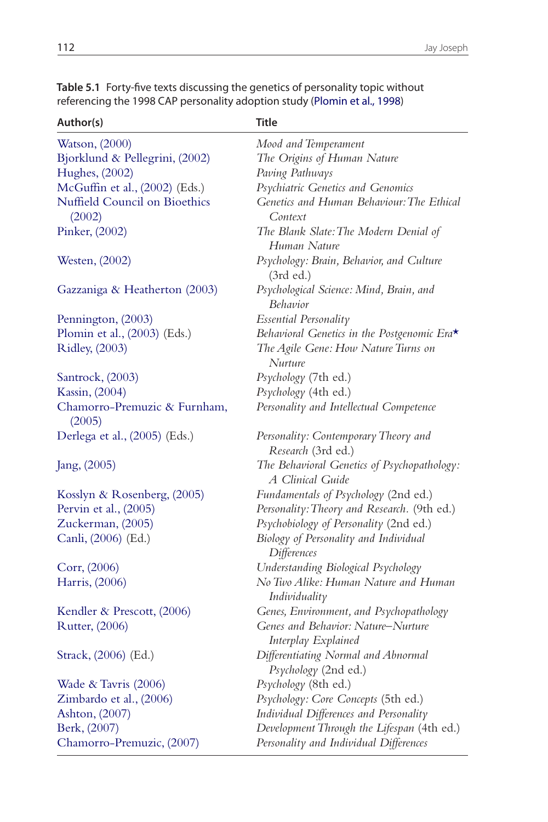| Author(s)                               | Title                                                            |
|-----------------------------------------|------------------------------------------------------------------|
| Watson, (2000)                          | Mood and Temperament                                             |
| Bjorklund & Pellegrini, (2002)          | The Origins of Human Nature                                      |
| Hughes, (2002)                          | Paving Pathways                                                  |
| McGuffin et al., (2002) (Eds.)          | Psychiatric Genetics and Genomics                                |
| Nuffield Council on Bioethics<br>(2002) | Genetics and Human Behaviour: The Ethical<br>Context             |
| Pinker, (2002)                          | The Blank Slate: The Modern Denial of<br>Human Nature            |
| Westen, (2002)                          | Psychology: Brain, Behavior, and Culture<br>(3rd ed.)            |
| Gazzaniga & Heatherton (2003)           | Psychological Science: Mind, Brain, and<br><b>Behavior</b>       |
| Pennington, (2003)                      | Essential Personality                                            |
| Plomin et al., (2003) (Eds.)            | Behavioral Genetics in the Postgenomic Era*                      |
| Ridley, (2003)                          | The Agile Gene: How Nature Turns on<br>Nurture                   |
| Santrock, (2003)                        | Psychology (7th ed.)                                             |
| Kassin, (2004)                          | Psychology (4th ed.)                                             |
| Chamorro-Premuzic & Furnham,<br>(2005)  | Personality and Intellectual Competence                          |
| Derlega et al., (2005) (Eds.)           | Personality: Contemporary Theory and<br>Research (3rd ed.)       |
| Jang, (2005)                            | The Behavioral Genetics of Psychopathology:<br>A Clinical Guide  |
| Kosslyn & Rosenberg, (2005)             | Fundamentals of Psychology (2nd ed.)                             |
| Pervin et al., (2005)                   | Personality: Theory and Research. (9th ed.)                      |
| Zuckerman, (2005)                       | Psychobiology of Personality (2nd ed.)                           |
| Canli, (2006) (Ed.)                     | Biology of Personality and Individual<br>Differences             |
| Corr, (2006)                            | Understanding Biological Psychology                              |
| Harris, (2006)                          | No Two Alike: Human Nature and Human<br>Individuality            |
| Kendler & Prescott, (2006)              | Genes, Environment, and Psychopathology                          |
| Rutter, (2006)                          | Genes and Behavior: Nature–Nurture<br><b>Interplay Explained</b> |
| Strack, (2006) (Ed.)                    | Differentiating Normal and Abnormal<br>Psychology (2nd ed.)      |
| Wade & Tavris (2006)                    | Psychology (8th ed.)                                             |
| Zimbardo et al., (2006)                 | Psychology: Core Concepts (5th ed.)                              |
| Ashton, (2007)                          | Individual Differences and Personality                           |
| Berk, (2007)                            | Development Through the Lifespan (4th ed.)                       |
| Chamorro-Premuzic, (2007)               | Personality and Individual Differences                           |

**Table 5.1** Forty-five texts discussing the genetics of personality topic without referencing the 1998 CAP personality adoption study (Plomin et al., 1998)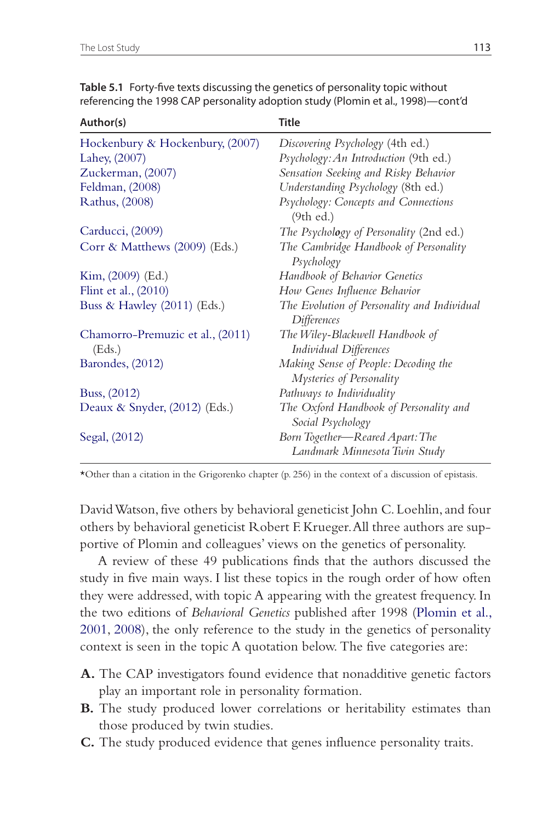| Author(s)                                  | Title                                                            |  |
|--------------------------------------------|------------------------------------------------------------------|--|
| Hockenbury & Hockenbury, (2007)            | Discovering Psychology (4th ed.)                                 |  |
| Lahey, (2007)                              | Psychology: An Introduction (9th ed.)                            |  |
| Zuckerman, (2007)                          | Sensation Seeking and Risky Behavior                             |  |
| Feldman, (2008)                            | Understanding Psychology (8th ed.)                               |  |
| Rathus, (2008)                             | Psychology: Concepts and Connections<br>(9th ed.)                |  |
| Carducci, (2009)                           | The Psychology of Personality (2nd ed.)                          |  |
| Corr & Matthews $(2009)$ (Eds.)            | The Cambridge Handbook of Personality<br>Psychology              |  |
| Kim, (2009) (Ed.)                          | <b>Handbook of Behavior Genetics</b>                             |  |
| Flint et al., (2010)                       | How Genes Influence Behavior                                     |  |
| Buss & Hawley $(2011)$ (Eds.)              | The Evolution of Personality and Individual<br>Differences       |  |
| Chamorro-Premuzic et al., (2011)<br>(Eds.) | The Wiley-Blackwell Handbook of<br><b>Individual Differences</b> |  |
| Barondes, (2012)                           | Making Sense of People: Decoding the<br>Mysteries of Personality |  |
| Buss, (2012)                               | Pathways to Individuality                                        |  |
| Deaux & Snyder, $(2012)$ (Eds.)            | The Oxford Handbook of Personality and<br>Social Psychology      |  |
| Segal, (2012)                              | Born Together—Reared Apart: The<br>Landmark Minnesota Twin Study |  |

**Table 5.1** Forty-five texts discussing the genetics of personality topic without referencing the 1998 CAP personality adoption study (Plomin et al., 1998)—cont'd

\*Other than a citation in the Grigorenko chapter (p. 256) in the context of a discussion of epistasis.

David Watson, five others by behavioral geneticist John C. Loehlin, and four others by behavioral geneticist Robert F. Krueger. All three authors are supportive of Plomin and colleagues' views on the genetics of personality.

A review of these 49 publications finds that the authors discussed the study in five main ways. I list these topics in the rough order of how often they were addressed, with topic A appearing with the greatest frequency. In the two editions of *Behavioral Genetics* published after 1998 (Plomin et al., 2001, 2008), the only reference to the study in the genetics of personality context is seen in the topic A quotation below. The five categories are:

- **A.** The CAP investigators found evidence that nonadditive genetic factors play an important role in personality formation.
- **B.** The study produced lower correlations or heritability estimates than those produced by twin studies.
- **C.** The study produced evidence that genes influence personality traits.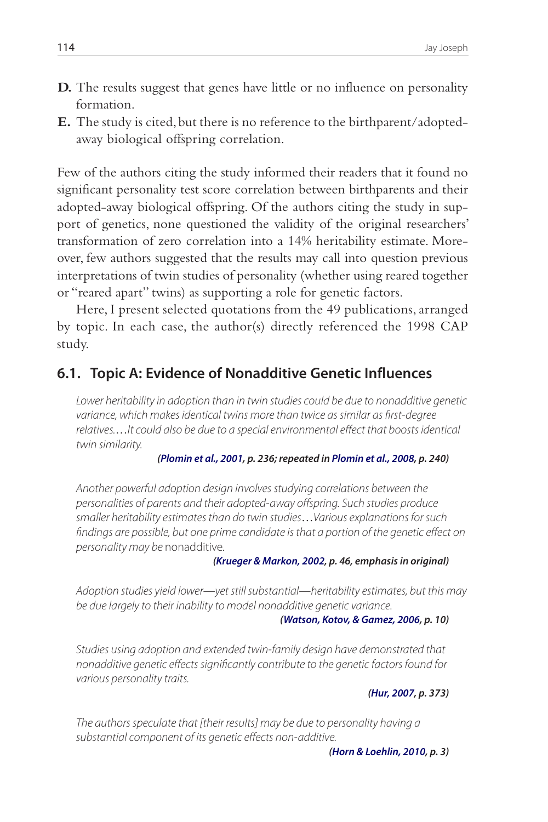- **D.** The results suggest that genes have little or no influence on personality formation.
- **E.** The study is cited, but there is no reference to the birthparent/ adoptedaway biological offspring correlation.

Few of the authors citing the study informed their readers that it found no significant personality test score correlation between birthparents and their adopted-away biological offspring. Of the authors citing the study in support of genetics, none questioned the validity of the original researchers' transformation of zero correlation into a 14% heritability estimate. Moreover, few authors suggested that the results may call into question previous interpretations of twin studies of personality (whether using reared together or "reared apart" twins) as supporting a role for genetic factors.

Here, I present selected quotations from the 49 publications, arranged by topic. In each case, the author(s) directly referenced the 1998 CAP study.

### **6.1. Topic A: Evidence of Nonadditive Genetic Influences**

Lower heritability in adoption than in twin studies could be due to nonadditive genetic variance, which makes identical twins more than twice as similar as first-degree relatives.…It could also be due to a special environmental effect that boosts identical twin similarity.

#### **(Plomin et al., 2001, p. 236; repeated in Plomin et al., 2008, p. 240)**

Another powerful adoption design involves studying correlations between the personalities of parents and their adopted-away offspring. Such studies produce smaller heritability estimates than do twin studies…Various explanations for such findings are possible, but one prime candidate is that a portion of the genetic effect on personality may be nonadditive.

#### **(Krueger & Markon, 2002, p. 46, emphasis in original)**

Adoption studies yield lower—yet still substantial—heritability estimates, but this may be due largely to their inability to model nonadditive genetic variance.

#### **(Watson, Kotov, & Gamez, 2006, p. 10)**

Studies using adoption and extended twin-family design have demonstrated that nonadditive genetic effects significantly contribute to the genetic factors found for various personality traits.

**(Hur, 2007, p. 373)**

The authors speculate that [their results] may be due to personality having a substantial component of its genetic effects non-additive.

**(Horn & Loehlin, 2010, p. 3)**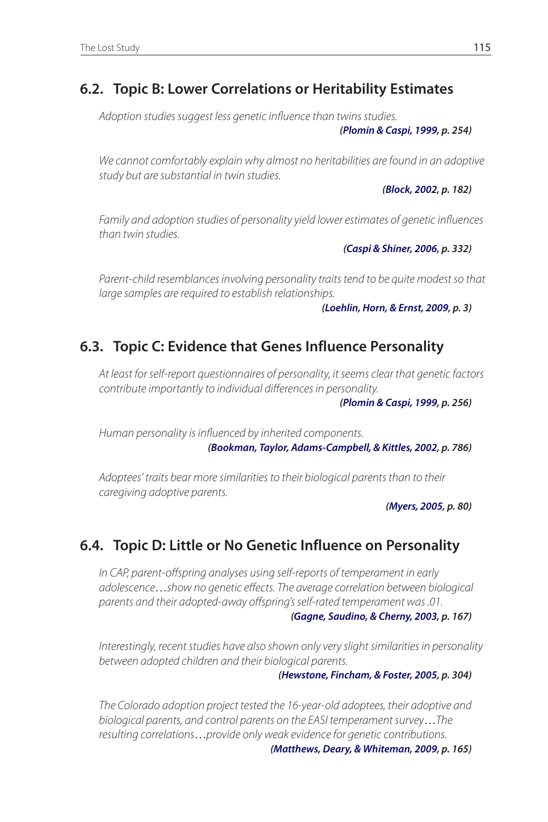# **6.2. Topic B: Lower Correlations or Heritability Estimates**

Adoption studies suggest less genetic influence than twins studies.

**(Plomin & Caspi, 1999, p. 254)**

We cannot comfortably explain why almost no heritabilities are found in an adoptive study but are substantial in twin studies.

**(Block, 2002, p. 182)**

Family and adoption studies of personality yield lower estimates of genetic influences than twin studies.

**(Caspi & Shiner, 2006, p. 332)**

Parent-child resemblances involving personality traits tend to be quite modest so that large samples are required to establish relationships.

**(Loehlin, Horn, & Ernst, 2009, p. 3)**

# **6.3. Topic C: Evidence that Genes Influence Personality**

At least for self-report questionnaires of personality, it seems clear that genetic factors contribute importantly to individual differences in personality.

**(Plomin & Caspi, 1999, p. 256)**

Human personality is influenced by inherited components. **(Bookman, Taylor, Adams-Campbell, & Kittles, 2002, p. 786)**

Adoptees' traits bear more similarities to their biological parents than to their caregiving adoptive parents.

**(Myers, 2005, p. 80)**

# **6.4. Topic D: Little or No Genetic Influence on Personality**

In CAP, parent-offspring analyses using self-reports of temperament in early adolescence…show no genetic effects. The average correlation between biological parents and their adopted-away offspring's self-rated temperament was .01.

**(Gagne, Saudino, & Cherny, 2003, p. 167)**

Interestingly, recent studies have also shown only very slight similarities in personality between adopted children and their biological parents.

**(Hewstone, Fincham, & Foster, 2005, p. 304)**

The Colorado adoption project tested the 16-year-old adoptees, their adoptive and biological parents, and control parents on the EASI temperament survey…The resulting correlations…provide only weak evidence for genetic contributions.

**(Matthews, Deary, & Whiteman, 2009, p. 165)**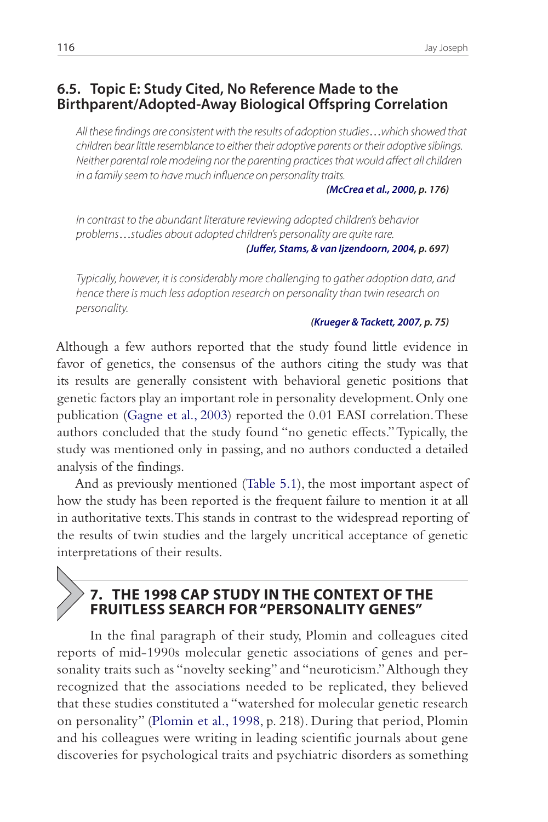### **6.5. Topic E: Study Cited, No Reference Made to the Birthparent/Adopted-Away Biological Offspring Correlation**

All these findings are consistent with the results of adoption studies…which showed that children bear little resemblance to either their adoptive parents or their adoptive siblings. Neither parental role modeling nor the parenting practices that would affect all children in a family seem to have much influence on personality traits.

**(McCrea et al., 2000, p. 176)**

In contrast to the abundant literature reviewing adopted children's behavior problems…studies about adopted children's personality are quite rare.

**(Juffer, Stams, & van Ijzendoorn, 2004, p. 697)**

Typically, however, it is considerably more challenging to gather adoption data, and hence there is much less adoption research on personality than twin research on personality.

#### **(Krueger & Tackett, 2007, p. 75)**

Although a few authors reported that the study found little evidence in favor of genetics, the consensus of the authors citing the study was that its results are generally consistent with behavioral genetic positions that genetic factors play an important role in personality development. Only one publication (Gagne et al., 2003) reported the 0.01 EASI correlation. These authors concluded that the study found "no genetic effects." Typically, the study was mentioned only in passing, and no authors conducted a detailed analysis of the findings.

And as previously mentioned (Table 5.1), the most important aspect of how the study has been reported is the frequent failure to mention it at all in authoritative texts. This stands in contrast to the widespread reporting of the results of twin studies and the largely uncritical acceptance of genetic interpretations of their results.

## **7. THE 1998 CAP STUDY IN THE CONTEXT OF THE FRUITLESS SEARCH FOR "PERSONALITY GENES"**

 In the final paragraph of their study, Plomin and colleagues cited reports of mid-1990s molecular genetic associations of genes and personality traits such as "novelty seeking" and "neuroticism." Although they recognized that the associations needed to be replicated, they believed that these studies constituted a "watershed for molecular genetic research on personality" (Plomin et al., 1998, p. 218). During that period, Plomin and his colleagues were writing in leading scientific journals about gene discoveries for psychological traits and psychiatric disorders as something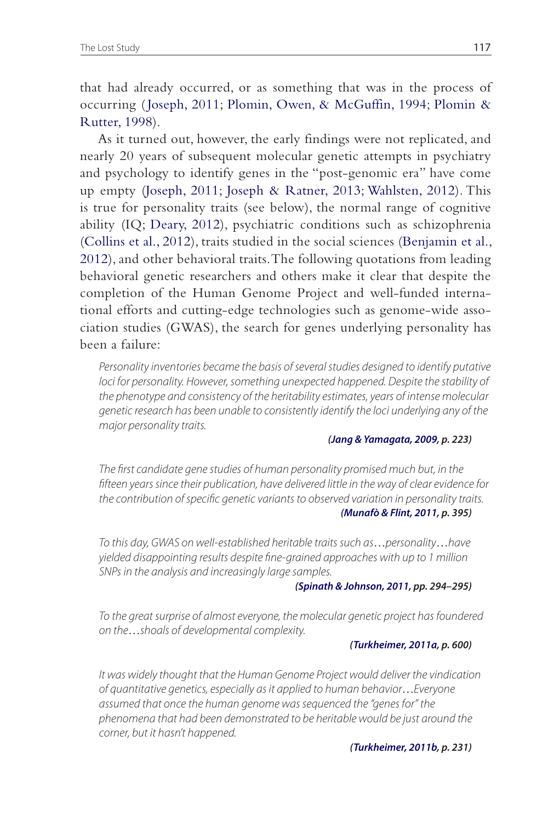that had already occurred, or as something that was in the process of occurring ( Joseph, 2011; Plomin, Owen, & McGuffin, 1994; Plomin & Rutter, 1998).

As it turned out, however, the early findings were not replicated, and nearly 20 years of subsequent molecular genetic attempts in psychiatry and psychology to identify genes in the "post-genomic era" have come up empty (Joseph, 2011; Joseph & Ratner, 2013; Wahlsten, 2012). This is true for personality traits (see below), the normal range of cognitive ability (IQ; Deary, 2012), psychiatric conditions such as schizophrenia (Collins et al., 2012), traits studied in the social sciences (Benjamin et al., 2012), and other behavioral traits. The following quotations from leading behavioral genetic researchers and others make it clear that despite the completion of the Human Genome Project and well-funded international efforts and cutting-edge technologies such as genome-wide association studies (GWAS), the search for genes underlying personality has been a failure:

Personality inventories became the basis of several studies designed to identify putative loci for personality. However, something unexpected happened. Despite the stability of the phenotype and consistency of the heritability estimates, years of intense molecular genetic research has been unable to consistently identify the loci underlying any of the major personality traits.

#### **(Jang & Yamagata, 2009, p. 223)**

The first candidate gene studies of human personality promised much but, in the fifteen years since their publication, have delivered little in the way of clear evidence for the contribution of specific genetic variants to observed variation in personality traits. **(Munafò & Flint, 2011, p. 395)**

To this day, GWAS on well-established heritable traits such as…personality…have yielded disappointing results despite fine-grained approaches with up to 1 million SNPs in the analysis and increasingly large samples.

#### **(Spinath & Johnson, 2011, pp. 294–295)**

To the great surprise of almost everyone, the molecular genetic project has foundered on the…shoals of developmental complexity.

#### **(Turkheimer, 2011a, p. 600)**

It was widely thought that the Human Genome Project would deliver the vindication of quantitative genetics, especially as it applied to human behavior…Everyone assumed that once the human genome was sequenced the "genes for" the phenomena that had been demonstrated to be heritable would be just around the corner, but it hasn't happened.

#### **(Turkheimer, 2011b, p. 231)**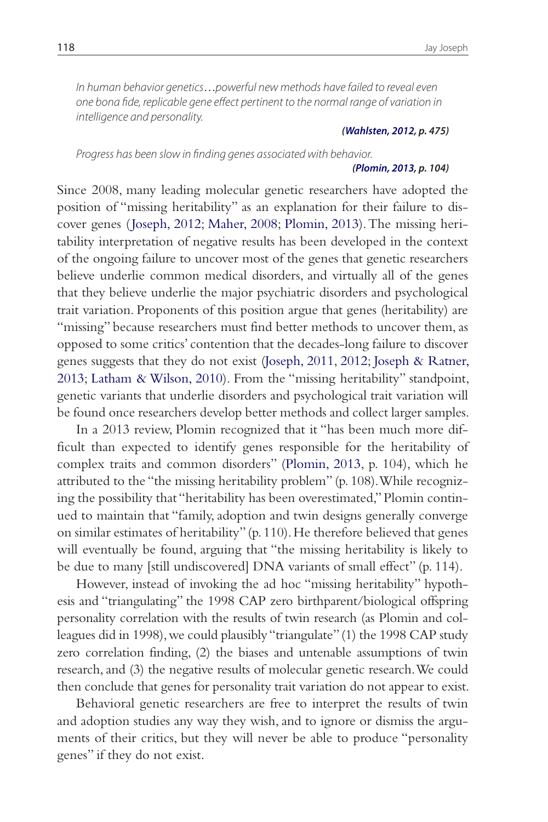In human behavior genetics…powerful new methods have failed to reveal even one bona fide, replicable gene effect pertinent to the normal range of variation in intelligence and personality.

#### **(Wahlsten, 2012, p. 475)**

Progress has been slow in finding genes associated with behavior.

#### **(Plomin, 2013, p. 104)**

Since 2008, many leading molecular genetic researchers have adopted the position of "missing heritability" as an explanation for their failure to discover genes ( Joseph, 2012; Maher, 2008; Plomin, 2013). The missing heritability interpretation of negative results has been developed in the context of the ongoing failure to uncover most of the genes that genetic researchers believe underlie common medical disorders, and virtually all of the genes that they believe underlie the major psychiatric disorders and psychological trait variation. Proponents of this position argue that genes (heritability) are "missing" because researchers must find better methods to uncover them, as opposed to some critics' contention that the decades-long failure to discover genes suggests that they do not exist (Joseph, 2011, 2012; Joseph & Ratner, 2013; Latham & Wilson, 2010). From the "missing heritability" standpoint, genetic variants that underlie disorders and psychological trait variation will be found once researchers develop better methods and collect larger samples.

In a 2013 review, Plomin recognized that it "has been much more difficult than expected to identify genes responsible for the heritability of complex traits and common disorders" (Plomin, 2013, p. 104), which he attributed to the "the missing heritability problem" (p. 108). While recognizing the possibility that "heritability has been overestimated," Plomin continued to maintain that "family, adoption and twin designs generally converge on similar estimates of heritability" (p. 110). He therefore believed that genes will eventually be found, arguing that "the missing heritability is likely to be due to many [still undiscovered] DNA variants of small effect" (p. 114).

However, instead of invoking the ad hoc "missing heritability" hypothesis and "triangulating" the 1998 CAP zero birthparent/biological offspring personality correlation with the results of twin research (as Plomin and colleagues did in 1998), we could plausibly "triangulate" (1) the 1998 CAP study zero correlation finding, (2) the biases and untenable assumptions of twin research, and (3) the negative results of molecular genetic research. We could then conclude that genes for personality trait variation do not appear to exist.

Behavioral genetic researchers are free to interpret the results of twin and adoption studies any way they wish, and to ignore or dismiss the arguments of their critics, but they will never be able to produce "personality genes" if they do not exist.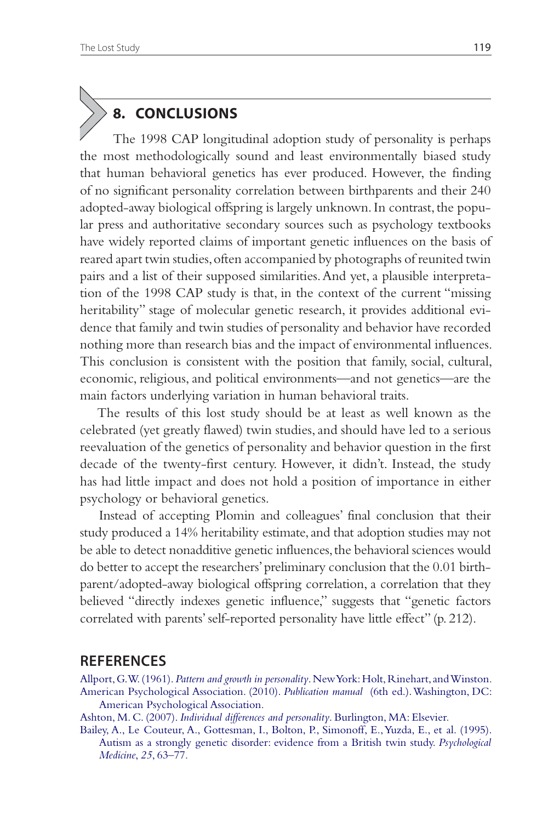# **8. CONCLUSIONS**

 The 1998 CAP longitudinal adoption study of personality is perhaps the most methodologically sound and least environmentally biased study that human behavioral genetics has ever produced. However, the finding of no significant personality correlation between birthparents and their 240 adopted-away biological offspring is largely unknown. In contrast, the popular press and authoritative secondary sources such as psychology textbooks have widely reported claims of important genetic influences on the basis of reared apart twin studies, often accompanied by photographs of reunited twin pairs and a list of their supposed similarities. And yet, a plausible interpretation of the 1998 CAP study is that, in the context of the current "missing heritability" stage of molecular genetic research, it provides additional evidence that family and twin studies of personality and behavior have recorded nothing more than research bias and the impact of environmental influences. This conclusion is consistent with the position that family, social, cultural, economic, religious, and political environments—and not genetics—are the main factors underlying variation in human behavioral traits.

The results of this lost study should be at least as well known as the celebrated (yet greatly flawed) twin studies, and should have led to a serious reevaluation of the genetics of personality and behavior question in the first decade of the twenty-first century. However, it didn't. Instead, the study has had little impact and does not hold a position of importance in either psychology or behavioral genetics.

Instead of accepting Plomin and colleagues' final conclusion that their study produced a 14% heritability estimate, and that adoption studies may not be able to detect nonadditive genetic influences, the behavioral sciences would do better to accept the researchers' preliminary conclusion that the 0.01 birthparent/adopted-away biological offspring correlation, a correlation that they believed "directly indexes genetic influence," suggests that "genetic factors correlated with parents' self-reported personality have little effect" (p. 212).

### **REFERENCES**

Allport, G. W. (1961). *Pattern and growth in personality*. New York: Holt, Rinehart, and Winston. American Psychological Association. (2010). *Publication manual* (6th ed.). Washington, DC: American Psychological Association.

Ashton, M. C. (2007). *Individual differences and personality*. Burlington, MA: Elsevier.

Bailey, A., Le Couteur, A., Gottesman, I., Bolton, P., Simonoff, E., Yuzda, E., et al. (1995). Autism as a strongly genetic disorder: evidence from a British twin study. *Psychological Medicine*, *25*, 63–77.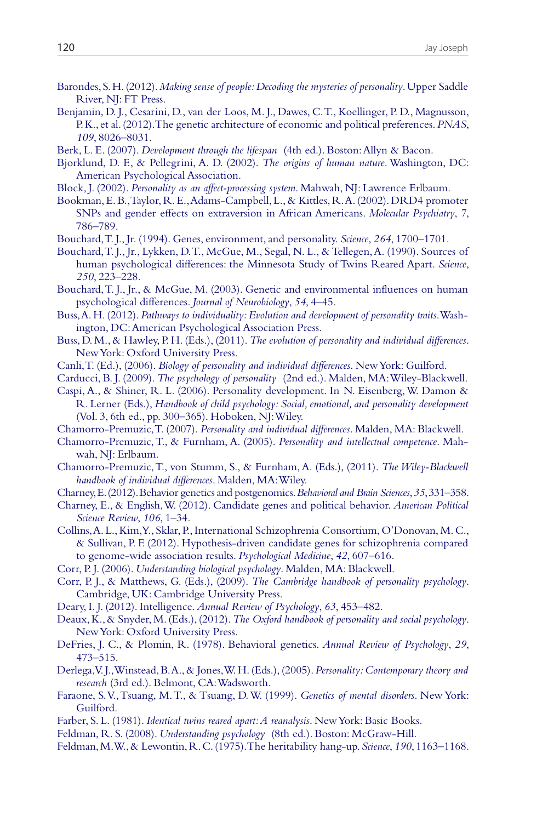- Barondes, S. H. (2012). *Making sense of people: Decoding the mysteries of personality*. Upper Saddle River, NJ: FT Press.
- Benjamin, D. J., Cesarini, D., van der Loos, M. J., Dawes, C. T., Koellinger, P. D., Magnusson, P. K., et al. (2012). The genetic architecture of economic and political preferences. *PNAS*, *109*, 8026–8031.
- Berk, L. E. (2007). *Development through the lifespan* (4th ed.). Boston: Allyn & Bacon.
- Bjorklund, D. F., & Pellegrini, A. D. (2002). *The origins of human nature*. Washington, DC: American Psychological Association.
- Block, J. (2002). *Personality as an affect-processing system*. Mahwah, NJ: Lawrence Erlbaum.
- Bookman, E. B., Taylor, R. E., Adams-Campbell, L., & Kittles, R. A. (2002). DRD4 promoter SNPs and gender effects on extraversion in African Americans. *Molecular Psychiatry*, *7*, 786–789.
- Bouchard, T. J., Jr. (1994). Genes, environment, and personality. *Science*, *264*, 1700–1701.
- Bouchard, T. J., Jr., Lykken, D. T., McGue, M., Segal, N. L., & Tellegen, A. (1990). Sources of human psychological differences: the Minnesota Study of Twins Reared Apart. *Science*, *250*, 223–228.
- Bouchard, T. J., Jr., & McGue, M. (2003). Genetic and environmental influences on human psychological differences. *Journal of Neurobiology*, *54*, 4–45.
- Buss, A. H. (2012). *Pathways to individuality: Evolution and development of personality traits*. Washington, DC: American Psychological Association Press.
- Buss, D. M., & Hawley, P. H. (Eds.), (2011). *The evolution of personality and individual differences*. New York: Oxford University Press.
- Canli, T. (Ed.), (2006). *Biology of personality and individual differences*. New York: Guilford.
- Carducci, B. J. (2009). *The psychology of personality* (2nd ed.). Malden, MA: Wiley-Blackwell.
- Caspi, A., & Shiner, R. L. (2006). Personality development. In N. Eisenberg, W. Damon & R. Lerner (Eds.), *Handbook of child psychology: Social, emotional, and personality development* (Vol. 3, 6th ed., pp. 300–365). Hoboken, NJ: Wiley.
- Chamorro-Premuzic, T. (2007). *Personality and individual differences*. Malden, MA: Blackwell.
- Chamorro-Premuzic, T., & Furnham, A. (2005). *Personality and intellectual competence*. Mahwah, NJ: Erlbaum.
- Chamorro-Premuzic, T., von Stumm, S., & Furnham, A. (Eds.), (2011). *The Wiley-Blackwell handbook of individual differences*. Malden, MA: Wiley.
- Charney, E. (2012). Behavior genetics and postgenomics. *Behavioral and Brain Sciences*, *35*, 331–358.
- Charney, E., & English, W. (2012). Candidate genes and political behavior. *American Political Science Review*, *106*, 1–34.
- Collins, A. L., Kim, Y., Sklar, P., International Schizophrenia Consortium, O'Donovan, M. C., & Sullivan, P. F. (2012). Hypothesis-driven candidate genes for schizophrenia compared to genome-wide association results. *Psychological Medicine*, *42*, 607–616.
- Corr, P. J. (2006). *Understanding biological psychology*. Malden, MA: Blackwell.
- Corr, P. J., & Matthews, G. (Eds.), (2009). *The Cambridge handbook of personality psychology*. Cambridge, UK: Cambridge University Press.
- Deary, I. J. (2012). Intelligence. *Annual Review of Psychology*, *63*, 453–482.
- Deaux, K., & Snyder, M. (Eds.), (2012). *The Oxford handbook of personality and social psychology*. New York: Oxford University Press.
- DeFries, J. C., & Plomin, R. (1978). Behavioral genetics. *Annual Review of Psychology*, *29*, 473–515.
- Derlega, V. J., Winstead, B. A., & Jones, W. H. (Eds.), (2005). *Personality: Contemporary theory and research* (3rd ed.). Belmont, CA: Wadsworth.
- Faraone, S. V., Tsuang, M. T., & Tsuang, D. W. (1999). *Genetics of mental disorders*. New York: Guilford.
- Farber, S. L. (1981). *Identical twins reared apart: A reanalysis*. New York: Basic Books.
- Feldman, R. S. (2008). *Understanding psychology* (8th ed.). Boston: McGraw-Hill.
- Feldman, M. W., & Lewontin, R. C. (1975). The heritability hang-up. *Science*, *190*, 1163–1168.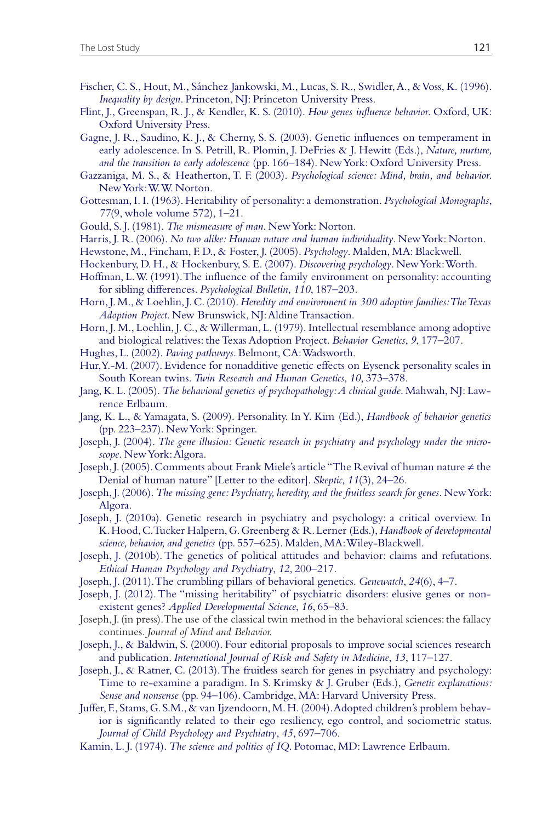- Fischer, C. S., Hout, M., Sánchez Jankowski, M., Lucas, S. R., Swidler, A., & Voss, K. (1996). *Inequality by design*. Princeton, NJ: Princeton University Press.
- Flint, J., Greenspan, R. J., & Kendler, K. S. (2010). *How genes influence behavior*. Oxford, UK: Oxford University Press.
- Gagne, J. R., Saudino, K. J., & Cherny, S. S. (2003). Genetic influences on temperament in early adolescence. In S. Petrill, R. Plomin, J. DeFries & J. Hewitt (Eds.), *Nature, nurture, and the transition to early adolescence* (pp. 166–184). New York: Oxford University Press.
- Gazzaniga, M. S., & Heatherton, T. F. (2003). *Psychological science: Mind, brain, and behavior*. New York: W. W. Norton.
- Gottesman, I. I. (1963). Heritability of personality: a demonstration. *Psychological Monographs*, *77*(9, whole volume 572), 1–21.
- Gould, S. J. (1981). *The mismeasure of man*. New York: Norton.
- Harris, J. R. (2006). *No two alike: Human nature and human individuality*. New York: Norton.
- Hewstone, M., Fincham, F. D., & Foster, J. (2005). *Psychology*. Malden, MA: Blackwell.
- Hockenbury, D. H., & Hockenbury, S. E. (2007). *Discovering psychology*. New York: Worth.
- Hoffman, L. W. (1991). The influence of the family environment on personality: accounting for sibling differences. *Psychological Bulletin*, *110*, 187–203.
- Horn, J. M., & Loehlin, J. C. (2010). *Heredity and environment in 300 adoptive families: The Texas Adoption Project*. New Brunswick, NJ: Aldine Transaction.
- Horn, J. M., Loehlin, J. C., & Willerman, L. (1979). Intellectual resemblance among adoptive and biological relatives: the Texas Adoption Project. *Behavior Genetics*, *9*, 177–207.
- Hughes, L. (2002). *Paving pathways*. Belmont, CA: Wadsworth.
- Hur, Y.-M. (2007). Evidence for nonadditive genetic effects on Eysenck personality scales in South Korean twins. *Twin Research and Human Genetics*, *10*, 373–378.
- Jang, K. L. (2005). *The behavioral genetics of psychopathology: A clinical guide*. Mahwah, NJ: Lawrence Erlbaum.
- Jang, K. L., & Yamagata, S. (2009). Personality. In Y. Kim (Ed.), *Handbook of behavior genetics* (pp. 223–237). New York: Springer.
- Joseph, J. (2004). *The gene illusion: Genetic research in psychiatry and psychology under the microscope*. New York: Algora.
- Joseph, J. (2005). Comments about Frank Miele's article "The Revival of human nature ≠ the Denial of human nature" [Letter to the editor]. *Skeptic*, *11*(3), 24–26.
- Joseph, J. (2006). *The missing gene: Psychiatry, heredity, and the fruitless search for genes*. New York: Algora.
- Joseph, J. (2010a). Genetic research in psychiatry and psychology: a critical overview. In K. Hood, C. Tucker Halpern, G. Greenberg & R. Lerner (Eds.), *Handbook of developmental science, behavior, and genetics* (pp. 557–625). Malden, MA: Wiley-Blackwell.
- Joseph, J. (2010b). The genetics of political attitudes and behavior: claims and refutations. *Ethical Human Psychology and Psychiatry*, *12*, 200–217.
- Joseph, J. (2011). The crumbling pillars of behavioral genetics. *Genewatch*, *24*(6), 4–7.
- Joseph, J. (2012). The "missing heritability" of psychiatric disorders: elusive genes or nonexistent genes? *Applied Developmental Science*, *16*, 65–83.
- Joseph, J. (in press). The use of the classical twin method in the behavioral sciences: the fallacy continues. *Journal of Mind and Behavior.*
- Joseph, J., & Baldwin, S. (2000). Four editorial proposals to improve social sciences research and publication. *International Journal of Risk and Safety in Medicine*, *13*, 117–127.
- Joseph, J., & Ratner, C. (2013). The fruitless search for genes in psychiatry and psychology: Time to re-examine a paradigm. In S. Krimsky & J. Gruber (Eds.), *Genetic explanations: Sense and nonsense* (pp. 94–106). Cambridge, MA: Harvard University Press.
- Juffer, F., Stams, G. S.M., & van Ijzendoorn, M. H. (2004). Adopted children's problem behavior is significantly related to their ego resiliency, ego control, and sociometric status. *Journal of Child Psychology and Psychiatry*, *45*, 697–706.
- Kamin, L. J. (1974). *The science and politics of IQ*. Potomac, MD: Lawrence Erlbaum.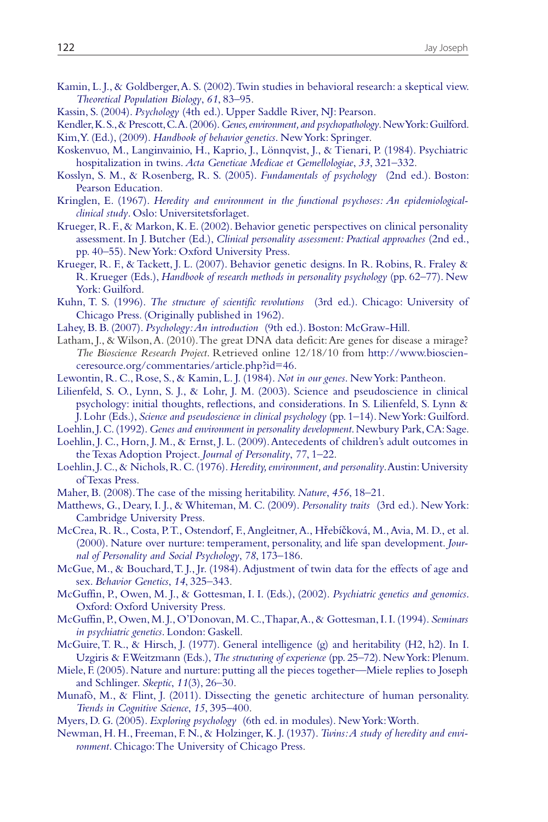- Kamin, L. J., & Goldberger, A. S. (2002). Twin studies in behavioral research: a skeptical view. *Theoretical Population Biology*, *61*, 83–95.
- Kassin, S. (2004). *Psychology* (4th ed.). Upper Saddle River, NJ: Pearson.
- Kendler, K. S., & Prescott, C. A. (2006). *Genes, environment, and psychopathology*. New York: Guilford. Kim, Y. (Ed.), (2009). *Handbook of behavior genetics*. New York: Springer.
- Koskenvuo, M., Langinvainio, H., Kaprio, J., Lönnqvist, J., & Tienari, P. (1984). Psychiatric hospitalization in twins. *Acta Geneticae Medicae et Gemellologiae*, *33*, 321–332.
- Kosslyn, S. M., & Rosenberg, R. S. (2005). *Fundamentals of psychology* (2nd ed.). Boston: Pearson Education.
- Kringlen, E. (1967). *Heredity and environment in the functional psychoses: An epidemiologicalclinical study*. Oslo: Universitetsforlaget.
- Krueger, R. F., & Markon, K. E. (2002). Behavior genetic perspectives on clinical personality assessment. In J. Butcher (Ed.), *Clinical personality assessment: Practical approaches* (2nd ed., pp. 40–55). New York: Oxford University Press.
- Krueger, R. F., & Tackett, J. L. (2007). Behavior genetic designs. In R. Robins, R. Fraley & R. Krueger (Eds.), *Handbook of research methods in personality psychology* (pp. 62–77). New York: Guilford.
- Kuhn, T. S. (1996). *The structure of scientific revolutions* (3rd ed.). Chicago: University of Chicago Press. (Originally published in 1962).
- Lahey, B. B. (2007). *Psychology: An introduction* (9th ed.). Boston: McGraw-Hill.
- Latham, J., & Wilson, A. (2010). The great DNA data deficit: Are genes for disease a mirage? *The Bioscience Research Project*. Retrieved online 12/18/10 from http://www.bioscienceresource.org/commentaries/article.php?id=46.
- Lewontin, R. C., Rose, S., & Kamin, L. J. (1984). *Not in our genes*. New York: Pantheon.
- Lilienfeld, S. O., Lynn, S. J., & Lohr, J. M. (2003). Science and pseudoscience in clinical psychology: initial thoughts, reflections, and considerations. In S. Lilienfeld, S. Lynn & J. Lohr (Eds.), *Science and pseudoscience in clinical psychology* (pp. 1–14). New York: Guilford.
- Loehlin, J. C. (1992). *Genes and environment in personality development*. Newbury Park, CA: Sage.
- Loehlin, J. C., Horn, J. M., & Ernst, J. L. (2009). Antecedents of children's adult outcomes in the Texas Adoption Project. *Journal of Personality*, *77*, 1–22.
- Loehlin, J. C., & Nichols, R. C. (1976). *Heredity, environment, and personality*. Austin: University of Texas Press.
- Maher, B. (2008). The case of the missing heritability. *Nature*, *456*, 18–21.
- Matthews, G., Deary, I. J., & Whiteman, M. C. (2009). *Personality traits* (3rd ed.). New York: Cambridge University Press.
- McCrea, R. R., Costa, P. T., Ostendorf, F., Angleitner, A., Hřebíčková, M., Avia, M. D., et al. (2000). Nature over nurture: temperament, personality, and life span development. *Journal of Personality and Social Psychology*, *78*, 173–186.
- McGue, M., & Bouchard, T. J., Jr. (1984). Adjustment of twin data for the effects of age and sex. *Behavior Genetics*, *14*, 325–343.
- McGuffin, P., Owen, M. J., & Gottesman, I. I. (Eds.), (2002). *Psychiatric genetics and genomics*. Oxford: Oxford University Press.
- McGuffin, P., Owen, M. J., O'Donovan, M. C., Thapar, A., & Gottesman, I. I. (1994). *Seminars in psychiatric genetics*. London: Gaskell.
- McGuire, T. R., & Hirsch, J. (1977). General intelligence (g) and heritability (H2, h2). In I. Uzgiris & F. Weitzmann (Eds.), *The structuring of experience* (pp. 25–72). New York: Plenum.
- Miele, F. (2005). Nature and nurture: putting all the pieces together—Miele replies to Joseph and Schlinger. *Skeptic*, *11*(3), 26–30.
- Munafò, M., & Flint, J. (2011). Dissecting the genetic architecture of human personality. *Trends in Cognitive Science*, *15*, 395–400.
- Myers, D. G. (2005). *Exploring psychology* (6th ed. in modules). New York: Worth.
- Newman, H. H., Freeman, F. N., & Holzinger, K. J. (1937). *Twins: A study of heredity and environment*. Chicago: The University of Chicago Press.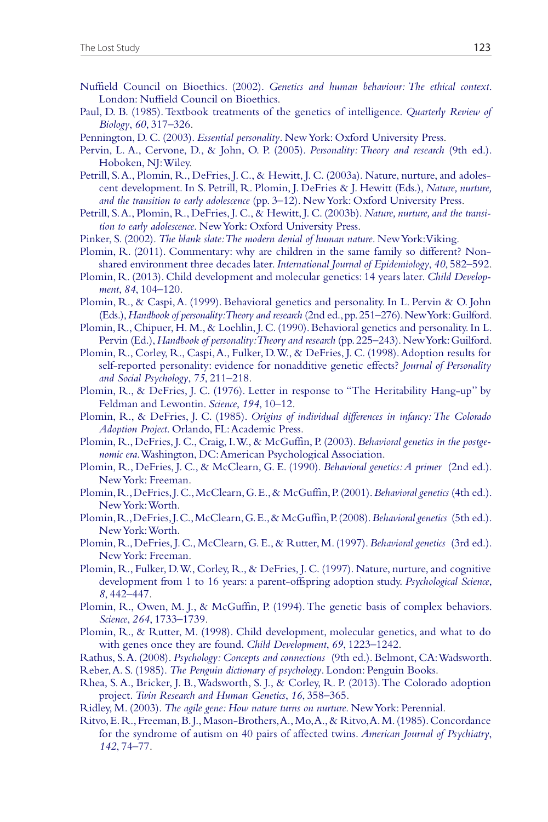- Nuffield Council on Bioethics. (2002). *Genetics and human behaviour: The ethical context*. London: Nuffield Council on Bioethics.
- Paul, D. B. (1985). Textbook treatments of the genetics of intelligence. *Quarterly Review of Biology*, *60*, 317–326.
- Pennington, D. C. (2003). *Essential personality*. New York: Oxford University Press.
- Pervin, L. A., Cervone, D., & John, O. P. (2005). *Personality: Theory and research* (9th ed.). Hoboken, NJ: Wiley.
- Petrill, S. A., Plomin, R., DeFries, J. C., & Hewitt, J. C. (2003a). Nature, nurture, and adolescent development. In S. Petrill, R. Plomin, J. DeFries & J. Hewitt (Eds.), *Nature, nurture, and the transition to early adolescence* (pp. 3–12). New York: Oxford University Press.
- Petrill, S. A., Plomin, R., DeFries, J. C., & Hewitt, J. C. (2003b). *Nature, nurture, and the transition to early adolescence*. New York: Oxford University Press.
- Pinker, S. (2002). *The blank slate: The modern denial of human nature*. New York: Viking.
- Plomin, R. (2011). Commentary: why are children in the same family so different? Nonshared environment three decades later. *International Journal of Epidemiology*, *40*, 582–592.
- Plomin, R. (2013). Child development and molecular genetics: 14 years later. *Child Development*, *84*, 104–120.
- Plomin, R., & Caspi, A. (1999). Behavioral genetics and personality. In L. Pervin & O. John (Eds.), *Handbook of personality: Theory and research* (2nd ed., pp. 251–276). New York: Guilford.
- Plomin, R., Chipuer, H. M., & Loehlin, J. C. (1990). Behavioral genetics and personality. In L. Pervin (Ed.), *Handbook of personality: Theory and research* (pp. 225–243). New York: Guilford.
- Plomin, R., Corley, R., Caspi, A., Fulker, D. W., & DeFries, J. C. (1998). Adoption results for self-reported personality: evidence for nonadditive genetic effects? *Journal of Personality and Social Psychology*, *75*, 211–218.
- Plomin, R., & DeFries, J. C. (1976). Letter in response to "The Heritability Hang-up" by Feldman and Lewontin. *Science*, *194*, 10–12.
- Plomin, R., & DeFries, J. C. (1985). *Origins of individual differences in infancy: The Colorado Adoption Project*. Orlando, FL: Academic Press.
- Plomin, R., DeFries, J. C., Craig, I. W., & McGuffin, P. (2003). *Behavioral genetics in the postgenomic era*. Washington, DC: American Psychological Association.
- Plomin, R., DeFries, J. C., & McClearn, G. E. (1990). *Behavioral genetics: A primer* (2nd ed.). New York: Freeman.
- Plomin, R., DeFries, J. C., McClearn, G. E., & McGuffin, P. (2001). *Behavioral genetics* (4th ed.). New York: Worth.
- Plomin, R., DeFries, J. C., McClearn, G. E., & McGuffin, P. (2008). *Behavioral genetics* (5th ed.). New York: Worth.
- Plomin, R., DeFries, J. C., McClearn, G. E., & Rutter, M. (1997). *Behavioral genetics* (3rd ed.). New York: Freeman.
- Plomin, R., Fulker, D. W., Corley, R., & DeFries, J. C. (1997). Nature, nurture, and cognitive development from 1 to 16 years: a parent-offspring adoption study. *Psychological Science*, *8*, 442–447.
- Plomin, R., Owen, M. J., & McGuffin, P. (1994). The genetic basis of complex behaviors. *Science*, *264*, 1733–1739.
- Plomin, R., & Rutter, M. (1998). Child development, molecular genetics, and what to do with genes once they are found. *Child Development*, *69*, 1223–1242.
- Rathus, S. A. (2008). *Psychology: Concepts and connections* (9th ed.). Belmont, CA: Wadsworth.
- Reber, A. S. (1985). *The Penguin dictionary of psychology*. London: Penguin Books.
- Rhea, S. A., Bricker, J. B., Wadsworth, S. J., & Corley, R. P. (2013). The Colorado adoption project. *Twin Research and Human Genetics*, *16*, 358–365.
- Ridley, M. (2003). *The agile gene: How nature turns on nurture*. New York: Perennial.
- Ritvo, E. R., Freeman, B. J., Mason-Brothers, A., Mo, A., & Ritvo, A. M. (1985). Concordance for the syndrome of autism on 40 pairs of affected twins. *American Journal of Psychiatry*, *142*, 74–77.